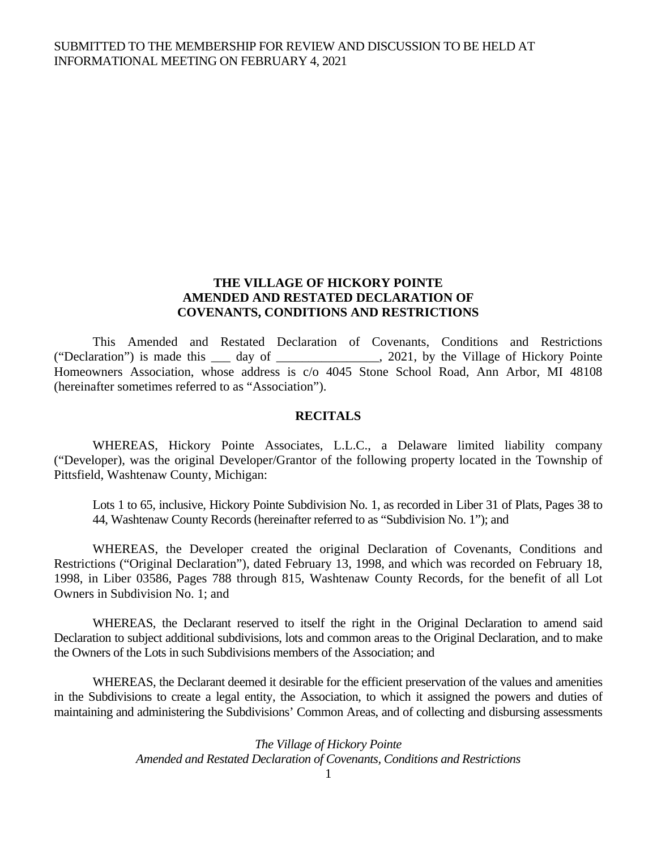# **THE VILLAGE OF HICKORY POINTE AMENDED AND RESTATED DECLARATION OF COVENANTS, CONDITIONS AND RESTRICTIONS**

 This Amended and Restated Declaration of Covenants, Conditions and Restrictions ("Declaration") is made this \_\_\_ day of \_\_\_\_\_\_\_\_\_\_\_\_\_\_\_\_, 2021, by the Village of Hickory Pointe Homeowners Association, whose address is c/o 4045 Stone School Road, Ann Arbor, MI 48108 (hereinafter sometimes referred to as "Association").

#### **RECITALS**

 WHEREAS, Hickory Pointe Associates, L.L.C., a Delaware limited liability company ("Developer), was the original Developer/Grantor of the following property located in the Township of Pittsfield, Washtenaw County, Michigan:

Lots 1 to 65, inclusive, Hickory Pointe Subdivision No. 1, as recorded in Liber 31 of Plats, Pages 38 to 44, Washtenaw County Records (hereinafter referred to as "Subdivision No. 1"); and

 WHEREAS, the Developer created the original Declaration of Covenants, Conditions and Restrictions ("Original Declaration"), dated February 13, 1998, and which was recorded on February 18, 1998, in Liber 03586, Pages 788 through 815, Washtenaw County Records, for the benefit of all Lot Owners in Subdivision No. 1; and

WHEREAS, the Declarant reserved to itself the right in the Original Declaration to amend said Declaration to subject additional subdivisions, lots and common areas to the Original Declaration, and to make the Owners of the Lots in such Subdivisions members of the Association; and

 WHEREAS, the Declarant deemed it desirable for the efficient preservation of the values and amenities in the Subdivisions to create a legal entity, the Association, to which it assigned the powers and duties of maintaining and administering the Subdivisions' Common Areas, and of collecting and disbursing assessments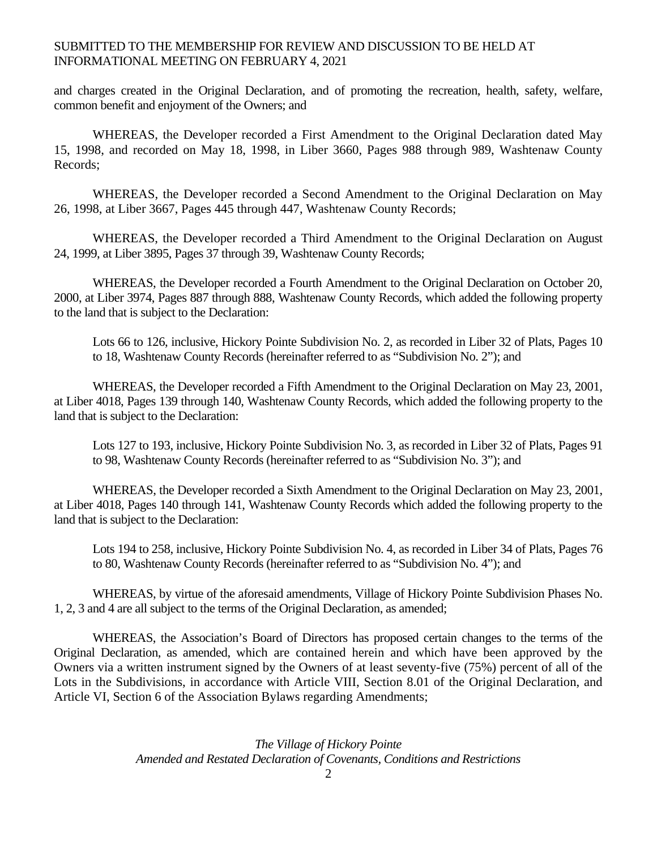and charges created in the Original Declaration, and of promoting the recreation, health, safety, welfare, common benefit and enjoyment of the Owners; and

WHEREAS, the Developer recorded a First Amendment to the Original Declaration dated May 15, 1998, and recorded on May 18, 1998, in Liber 3660, Pages 988 through 989, Washtenaw County Records;

 WHEREAS, the Developer recorded a Second Amendment to the Original Declaration on May 26, 1998, at Liber 3667, Pages 445 through 447, Washtenaw County Records;

 WHEREAS, the Developer recorded a Third Amendment to the Original Declaration on August 24, 1999, at Liber 3895, Pages 37 through 39, Washtenaw County Records;

 WHEREAS, the Developer recorded a Fourth Amendment to the Original Declaration on October 20, 2000, at Liber 3974, Pages 887 through 888, Washtenaw County Records, which added the following property to the land that is subject to the Declaration:

Lots 66 to 126, inclusive, Hickory Pointe Subdivision No. 2, as recorded in Liber 32 of Plats, Pages 10 to 18, Washtenaw County Records (hereinafter referred to as "Subdivision No. 2"); and

 WHEREAS, the Developer recorded a Fifth Amendment to the Original Declaration on May 23, 2001, at Liber 4018, Pages 139 through 140, Washtenaw County Records, which added the following property to the land that is subject to the Declaration:

Lots 127 to 193, inclusive, Hickory Pointe Subdivision No. 3, as recorded in Liber 32 of Plats, Pages 91 to 98, Washtenaw County Records (hereinafter referred to as "Subdivision No. 3"); and

 WHEREAS, the Developer recorded a Sixth Amendment to the Original Declaration on May 23, 2001, at Liber 4018, Pages 140 through 141, Washtenaw County Records which added the following property to the land that is subject to the Declaration:

Lots 194 to 258, inclusive, Hickory Pointe Subdivision No. 4, as recorded in Liber 34 of Plats, Pages 76 to 80, Washtenaw County Records (hereinafter referred to as "Subdivision No. 4"); and

 WHEREAS, by virtue of the aforesaid amendments, Village of Hickory Pointe Subdivision Phases No. 1, 2, 3 and 4 are all subject to the terms of the Original Declaration, as amended;

 WHEREAS, the Association's Board of Directors has proposed certain changes to the terms of the Original Declaration, as amended, which are contained herein and which have been approved by the Owners via a written instrument signed by the Owners of at least seventy-five (75%) percent of all of the Lots in the Subdivisions, in accordance with Article VIII, Section 8.01 of the Original Declaration, and Article VI, Section 6 of the Association Bylaws regarding Amendments;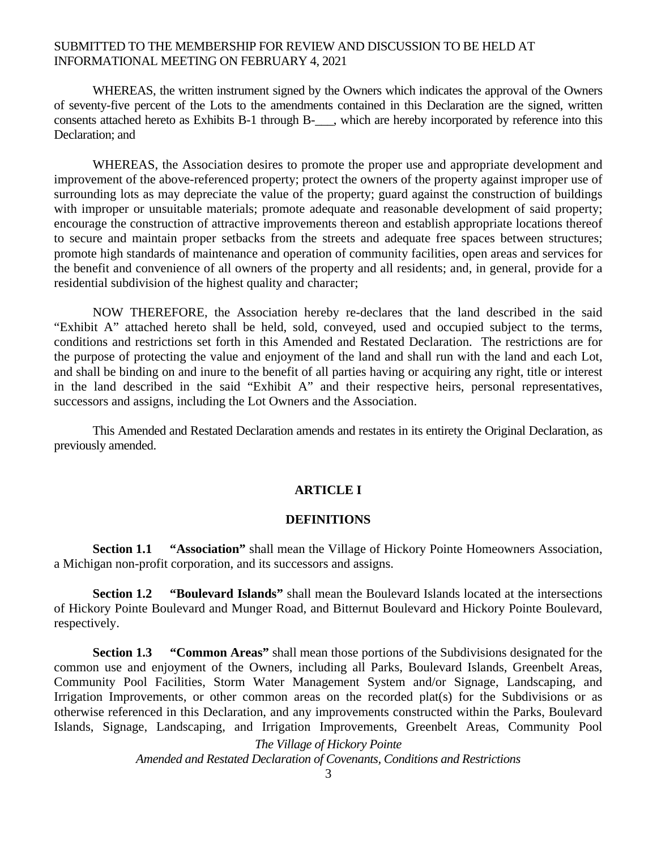WHEREAS, the written instrument signed by the Owners which indicates the approval of the Owners of seventy-five percent of the Lots to the amendments contained in this Declaration are the signed, written consents attached hereto as Exhibits B-1 through B-\_\_\_, which are hereby incorporated by reference into this Declaration; and

 WHEREAS, the Association desires to promote the proper use and appropriate development and improvement of the above-referenced property; protect the owners of the property against improper use of surrounding lots as may depreciate the value of the property; guard against the construction of buildings with improper or unsuitable materials; promote adequate and reasonable development of said property; encourage the construction of attractive improvements thereon and establish appropriate locations thereof to secure and maintain proper setbacks from the streets and adequate free spaces between structures; promote high standards of maintenance and operation of community facilities, open areas and services for the benefit and convenience of all owners of the property and all residents; and, in general, provide for a residential subdivision of the highest quality and character;

 NOW THEREFORE, the Association hereby re-declares that the land described in the said "Exhibit A" attached hereto shall be held, sold, conveyed, used and occupied subject to the terms, conditions and restrictions set forth in this Amended and Restated Declaration. The restrictions are for the purpose of protecting the value and enjoyment of the land and shall run with the land and each Lot, and shall be binding on and inure to the benefit of all parties having or acquiring any right, title or interest in the land described in the said "Exhibit A" and their respective heirs, personal representatives, successors and assigns, including the Lot Owners and the Association.

This Amended and Restated Declaration amends and restates in its entirety the Original Declaration, as previously amended.

#### **ARTICLE I**

# **DEFINITIONS**

**Section 1.1 "Association"** shall mean the Village of Hickory Pointe Homeowners Association, a Michigan non-profit corporation, and its successors and assigns.

**Section 1.2** "Boulevard Islands" shall mean the Boulevard Islands located at the intersections of Hickory Pointe Boulevard and Munger Road, and Bitternut Boulevard and Hickory Pointe Boulevard, respectively.

**Section 1.3 "Common Areas"** shall mean those portions of the Subdivisions designated for the common use and enjoyment of the Owners, including all Parks, Boulevard Islands, Greenbelt Areas, Community Pool Facilities, Storm Water Management System and/or Signage, Landscaping, and Irrigation Improvements, or other common areas on the recorded plat(s) for the Subdivisions or as otherwise referenced in this Declaration, and any improvements constructed within the Parks, Boulevard Islands, Signage, Landscaping, and Irrigation Improvements, Greenbelt Areas, Community Pool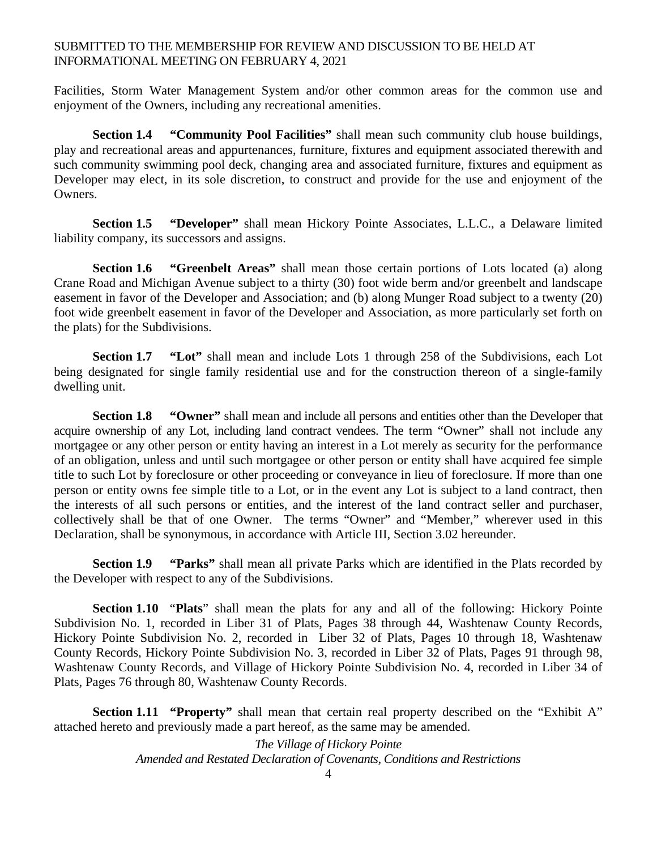Facilities, Storm Water Management System and/or other common areas for the common use and enjoyment of the Owners, including any recreational amenities.

**Section 1.4 "Community Pool Facilities"** shall mean such community club house buildings, play and recreational areas and appurtenances, furniture, fixtures and equipment associated therewith and such community swimming pool deck, changing area and associated furniture, fixtures and equipment as Developer may elect, in its sole discretion, to construct and provide for the use and enjoyment of the Owners.

**Section 1.5 "Developer"** shall mean Hickory Pointe Associates, L.L.C., a Delaware limited liability company, its successors and assigns.

**Section 1.6 "Greenbelt Areas"** shall mean those certain portions of Lots located (a) along Crane Road and Michigan Avenue subject to a thirty (30) foot wide berm and/or greenbelt and landscape easement in favor of the Developer and Association; and (b) along Munger Road subject to a twenty (20) foot wide greenbelt easement in favor of the Developer and Association, as more particularly set forth on the plats) for the Subdivisions.

**Section 1.7 "Lot"** shall mean and include Lots 1 through 258 of the Subdivisions, each Lot being designated for single family residential use and for the construction thereon of a single-family dwelling unit.

**Section 1.8 "Owner"** shall mean and include all persons and entities other than the Developer that acquire ownership of any Lot, including land contract vendees. The term "Owner" shall not include any mortgagee or any other person or entity having an interest in a Lot merely as security for the performance of an obligation, unless and until such mortgagee or other person or entity shall have acquired fee simple title to such Lot by foreclosure or other proceeding or conveyance in lieu of foreclosure. If more than one person or entity owns fee simple title to a Lot, or in the event any Lot is subject to a land contract, then the interests of all such persons or entities, and the interest of the land contract seller and purchaser, collectively shall be that of one Owner. The terms "Owner" and "Member," wherever used in this Declaration, shall be synonymous, in accordance with Article III, Section 3.02 hereunder.

**Section 1.9 "Parks"** shall mean all private Parks which are identified in the Plats recorded by the Developer with respect to any of the Subdivisions.

 **Section 1.10** "**Plats**" shall mean the plats for any and all of the following: Hickory Pointe Subdivision No. 1, recorded in Liber 31 of Plats, Pages 38 through 44, Washtenaw County Records, Hickory Pointe Subdivision No. 2, recorded in Liber 32 of Plats, Pages 10 through 18, Washtenaw County Records, Hickory Pointe Subdivision No. 3, recorded in Liber 32 of Plats, Pages 91 through 98, Washtenaw County Records, and Village of Hickory Pointe Subdivision No. 4, recorded in Liber 34 of Plats, Pages 76 through 80, Washtenaw County Records.

**Section 1.11 <b>"Property"** shall mean that certain real property described on the "Exhibit A" attached hereto and previously made a part hereof, as the same may be amended.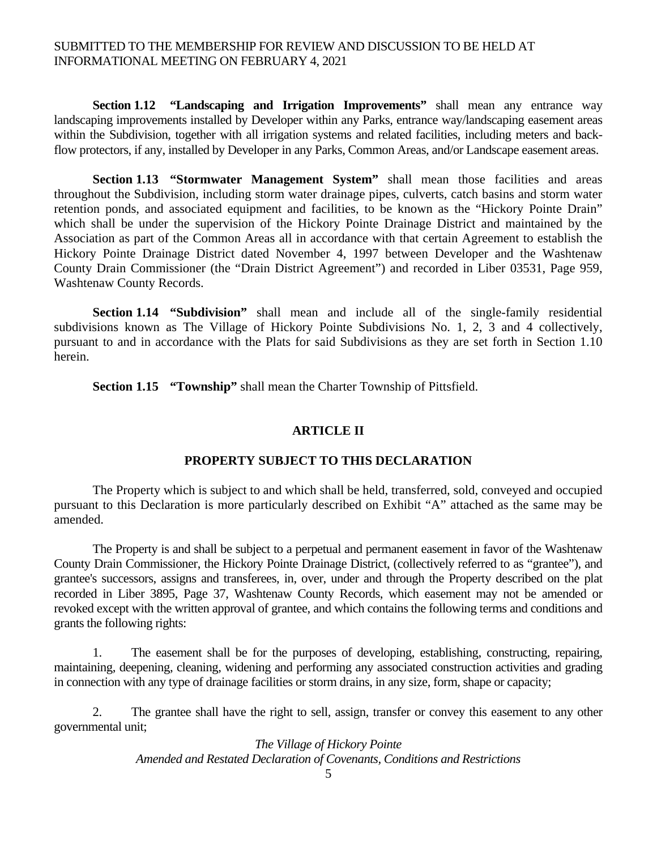**Section 1.12 "Landscaping and Irrigation Improvements"** shall mean any entrance way landscaping improvements installed by Developer within any Parks, entrance way/landscaping easement areas within the Subdivision, together with all irrigation systems and related facilities, including meters and backflow protectors, if any, installed by Developer in any Parks, Common Areas, and/or Landscape easement areas.

**Section 1.13 "Stormwater Management System"** shall mean those facilities and areas throughout the Subdivision, including storm water drainage pipes, culverts, catch basins and storm water retention ponds, and associated equipment and facilities, to be known as the "Hickory Pointe Drain" which shall be under the supervision of the Hickory Pointe Drainage District and maintained by the Association as part of the Common Areas all in accordance with that certain Agreement to establish the Hickory Pointe Drainage District dated November 4, 1997 between Developer and the Washtenaw County Drain Commissioner (the "Drain District Agreement") and recorded in Liber 03531, Page 959, Washtenaw County Records.

**Section 1.14 "Subdivision"** shall mean and include all of the single-family residential subdivisions known as The Village of Hickory Pointe Subdivisions No. 1, 2, 3 and 4 collectively, pursuant to and in accordance with the Plats for said Subdivisions as they are set forth in Section 1.10 herein.

**Section 1.15 "Township"** shall mean the Charter Township of Pittsfield.

#### **ARTICLE II**

### **PROPERTY SUBJECT TO THIS DECLARATION**

 The Property which is subject to and which shall be held, transferred, sold, conveyed and occupied pursuant to this Declaration is more particularly described on Exhibit "A" attached as the same may be amended.

 The Property is and shall be subject to a perpetual and permanent easement in favor of the Washtenaw County Drain Commissioner, the Hickory Pointe Drainage District, (collectively referred to as "grantee"), and grantee's successors, assigns and transferees, in, over, under and through the Property described on the plat recorded in Liber 3895, Page 37, Washtenaw County Records, which easement may not be amended or revoked except with the written approval of grantee, and which contains the following terms and conditions and grants the following rights:

 1. The easement shall be for the purposes of developing, establishing, constructing, repairing, maintaining, deepening, cleaning, widening and performing any associated construction activities and grading in connection with any type of drainage facilities or storm drains, in any size, form, shape or capacity;

 2. The grantee shall have the right to sell, assign, transfer or convey this easement to any other governmental unit;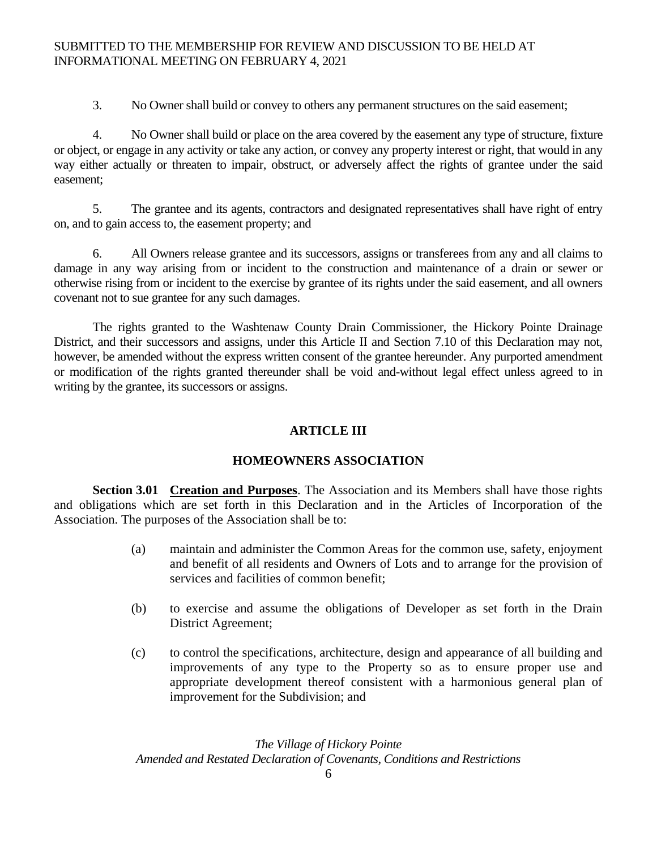3. No Owner shall build or convey to others any permanent structures on the said easement;

 4. No Owner shall build or place on the area covered by the easement any type of structure, fixture or object, or engage in any activity or take any action, or convey any property interest or right, that would in any way either actually or threaten to impair, obstruct, or adversely affect the rights of grantee under the said easement;

 5. The grantee and its agents, contractors and designated representatives shall have right of entry on, and to gain access to, the easement property; and

 6. All Owners release grantee and its successors, assigns or transferees from any and all claims to damage in any way arising from or incident to the construction and maintenance of a drain or sewer or otherwise rising from or incident to the exercise by grantee of its rights under the said easement, and all owners covenant not to sue grantee for any such damages.

 The rights granted to the Washtenaw County Drain Commissioner, the Hickory Pointe Drainage District, and their successors and assigns, under this Article II and Section 7.10 of this Declaration may not, however, be amended without the express written consent of the grantee hereunder. Any purported amendment or modification of the rights granted thereunder shall be void and-without legal effect unless agreed to in writing by the grantee, its successors or assigns.

# **ARTICLE III**

# **HOMEOWNERS ASSOCIATION**

**Section 3.01 Creation and Purposes**. The Association and its Members shall have those rights and obligations which are set forth in this Declaration and in the Articles of Incorporation of the Association. The purposes of the Association shall be to:

- (a) maintain and administer the Common Areas for the common use, safety, enjoyment and benefit of all residents and Owners of Lots and to arrange for the provision of services and facilities of common benefit;
- (b) to exercise and assume the obligations of Developer as set forth in the Drain District Agreement;
- (c) to control the specifications, architecture, design and appearance of all building and improvements of any type to the Property so as to ensure proper use and appropriate development thereof consistent with a harmonious general plan of improvement for the Subdivision; and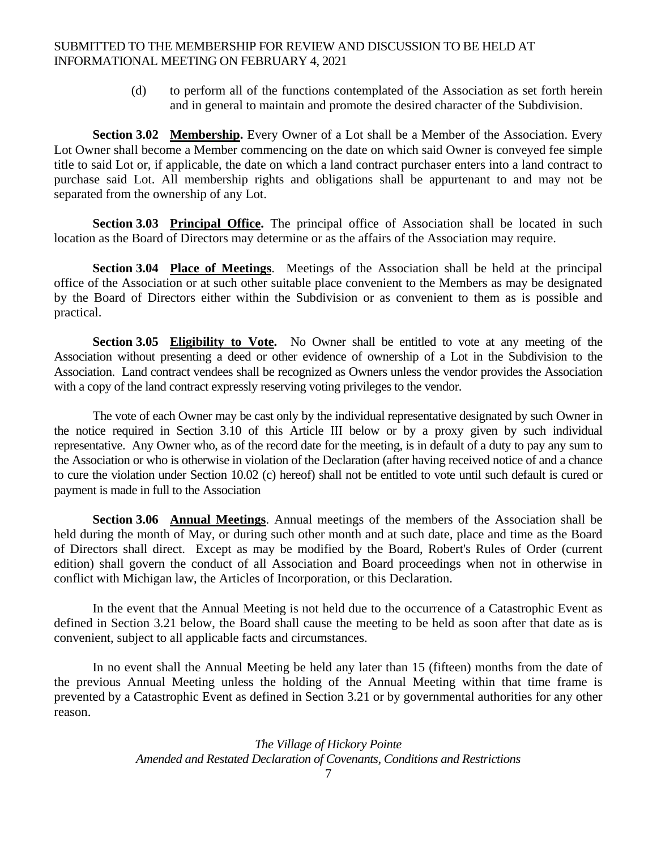(d) to perform all of the functions contemplated of the Association as set forth herein and in general to maintain and promote the desired character of the Subdivision.

**Section 3.02 Membership.** Every Owner of a Lot shall be a Member of the Association. Every Lot Owner shall become a Member commencing on the date on which said Owner is conveyed fee simple title to said Lot or, if applicable, the date on which a land contract purchaser enters into a land contract to purchase said Lot. All membership rights and obligations shall be appurtenant to and may not be separated from the ownership of any Lot.

**Section 3.03 Principal Office.** The principal office of Association shall be located in such location as the Board of Directors may determine or as the affairs of the Association may require.

**Section 3.04 Place of Meetings**. Meetings of the Association shall be held at the principal office of the Association or at such other suitable place convenient to the Members as may be designated by the Board of Directors either within the Subdivision or as convenient to them as is possible and practical.

**Section 3.05 Eligibility to Vote.** No Owner shall be entitled to vote at any meeting of the Association without presenting a deed or other evidence of ownership of a Lot in the Subdivision to the Association. Land contract vendees shall be recognized as Owners unless the vendor provides the Association with a copy of the land contract expressly reserving voting privileges to the vendor.

The vote of each Owner may be cast only by the individual representative designated by such Owner in the notice required in Section 3.10 of this Article III below or by a proxy given by such individual representative. Any Owner who, as of the record date for the meeting, is in default of a duty to pay any sum to the Association or who is otherwise in violation of the Declaration (after having received notice of and a chance to cure the violation under Section 10.02 (c) hereof) shall not be entitled to vote until such default is cured or payment is made in full to the Association

**Section 3.06 Annual Meetings**. Annual meetings of the members of the Association shall be held during the month of May, or during such other month and at such date, place and time as the Board of Directors shall direct. Except as may be modified by the Board, Robert's Rules of Order (current edition) shall govern the conduct of all Association and Board proceedings when not in otherwise in conflict with Michigan law, the Articles of Incorporation, or this Declaration.

In the event that the Annual Meeting is not held due to the occurrence of a Catastrophic Event as defined in Section 3.21 below, the Board shall cause the meeting to be held as soon after that date as is convenient, subject to all applicable facts and circumstances.

In no event shall the Annual Meeting be held any later than 15 (fifteen) months from the date of the previous Annual Meeting unless the holding of the Annual Meeting within that time frame is prevented by a Catastrophic Event as defined in Section 3.21 or by governmental authorities for any other reason.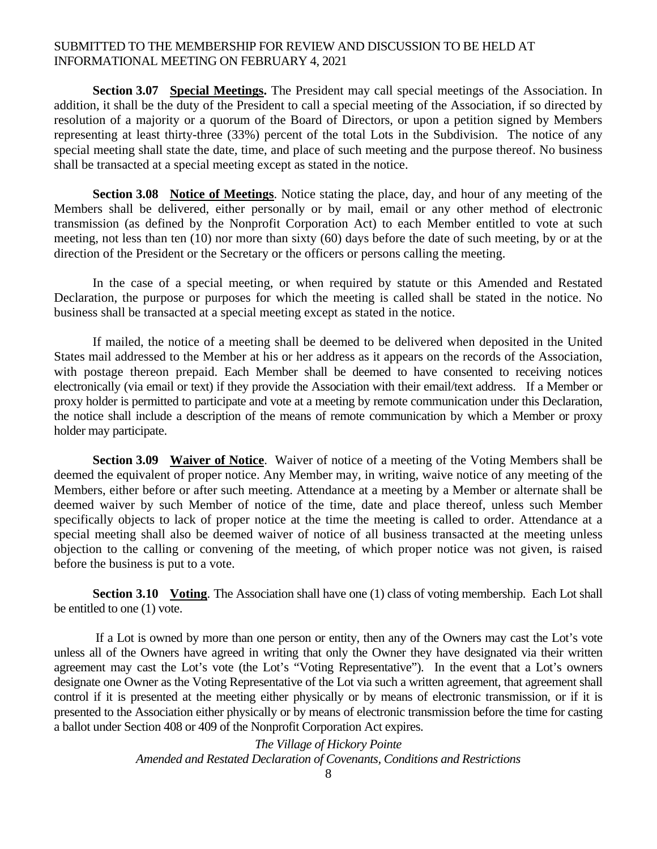**Section 3.07 Special Meetings.** The President may call special meetings of the Association. In addition, it shall be the duty of the President to call a special meeting of the Association, if so directed by resolution of a majority or a quorum of the Board of Directors, or upon a petition signed by Members representing at least thirty-three (33%) percent of the total Lots in the Subdivision. The notice of any special meeting shall state the date, time, and place of such meeting and the purpose thereof. No business shall be transacted at a special meeting except as stated in the notice.

**Section 3.08 Notice of Meetings**. Notice stating the place, day, and hour of any meeting of the Members shall be delivered, either personally or by mail, email or any other method of electronic transmission (as defined by the Nonprofit Corporation Act) to each Member entitled to vote at such meeting, not less than ten (10) nor more than sixty (60) days before the date of such meeting, by or at the direction of the President or the Secretary or the officers or persons calling the meeting.

In the case of a special meeting, or when required by statute or this Amended and Restated Declaration, the purpose or purposes for which the meeting is called shall be stated in the notice. No business shall be transacted at a special meeting except as stated in the notice.

If mailed, the notice of a meeting shall be deemed to be delivered when deposited in the United States mail addressed to the Member at his or her address as it appears on the records of the Association, with postage thereon prepaid. Each Member shall be deemed to have consented to receiving notices electronically (via email or text) if they provide the Association with their email/text address. If a Member or proxy holder is permitted to participate and vote at a meeting by remote communication under this Declaration, the notice shall include a description of the means of remote communication by which a Member or proxy holder may participate.

**Section 3.09 Waiver of Notice**. Waiver of notice of a meeting of the Voting Members shall be deemed the equivalent of proper notice. Any Member may, in writing, waive notice of any meeting of the Members, either before or after such meeting. Attendance at a meeting by a Member or alternate shall be deemed waiver by such Member of notice of the time, date and place thereof, unless such Member specifically objects to lack of proper notice at the time the meeting is called to order. Attendance at a special meeting shall also be deemed waiver of notice of all business transacted at the meeting unless objection to the calling or convening of the meeting, of which proper notice was not given, is raised before the business is put to a vote.

**Section 3.10 Voting.** The Association shall have one (1) class of voting membership. Each Lot shall be entitled to one (1) vote.

 If a Lot is owned by more than one person or entity, then any of the Owners may cast the Lot's vote unless all of the Owners have agreed in writing that only the Owner they have designated via their written agreement may cast the Lot's vote (the Lot's "Voting Representative"). In the event that a Lot's owners designate one Owner as the Voting Representative of the Lot via such a written agreement, that agreement shall control if it is presented at the meeting either physically or by means of electronic transmission, or if it is presented to the Association either physically or by means of electronic transmission before the time for casting a ballot under Section 408 or 409 of the Nonprofit Corporation Act expires.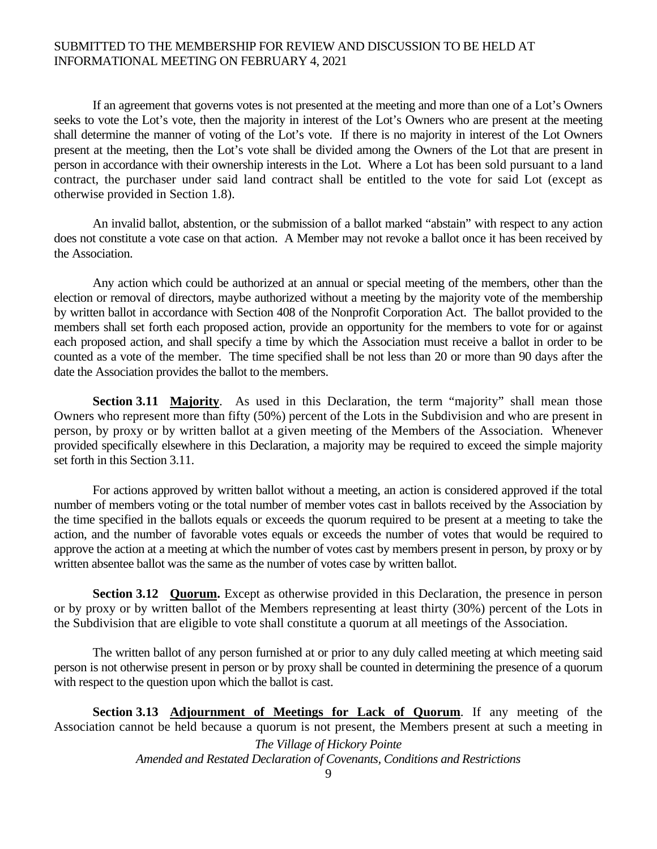If an agreement that governs votes is not presented at the meeting and more than one of a Lot's Owners seeks to vote the Lot's vote, then the majority in interest of the Lot's Owners who are present at the meeting shall determine the manner of voting of the Lot's vote. If there is no majority in interest of the Lot Owners present at the meeting, then the Lot's vote shall be divided among the Owners of the Lot that are present in person in accordance with their ownership interests in the Lot. Where a Lot has been sold pursuant to a land contract, the purchaser under said land contract shall be entitled to the vote for said Lot (except as otherwise provided in Section 1.8).

An invalid ballot, abstention, or the submission of a ballot marked "abstain" with respect to any action does not constitute a vote case on that action. A Member may not revoke a ballot once it has been received by the Association.

 Any action which could be authorized at an annual or special meeting of the members, other than the election or removal of directors, maybe authorized without a meeting by the majority vote of the membership by written ballot in accordance with Section 408 of the Nonprofit Corporation Act. The ballot provided to the members shall set forth each proposed action, provide an opportunity for the members to vote for or against each proposed action, and shall specify a time by which the Association must receive a ballot in order to be counted as a vote of the member. The time specified shall be not less than 20 or more than 90 days after the date the Association provides the ballot to the members.

**Section 3.11 Majority.** As used in this Declaration, the term "majority" shall mean those Owners who represent more than fifty (50%) percent of the Lots in the Subdivision and who are present in person, by proxy or by written ballot at a given meeting of the Members of the Association. Whenever provided specifically elsewhere in this Declaration, a majority may be required to exceed the simple majority set forth in this Section 3.11.

For actions approved by written ballot without a meeting, an action is considered approved if the total number of members voting or the total number of member votes cast in ballots received by the Association by the time specified in the ballots equals or exceeds the quorum required to be present at a meeting to take the action, and the number of favorable votes equals or exceeds the number of votes that would be required to approve the action at a meeting at which the number of votes cast by members present in person, by proxy or by written absentee ballot was the same as the number of votes case by written ballot.

**Section 3.12 Quorum.** Except as otherwise provided in this Declaration, the presence in person or by proxy or by written ballot of the Members representing at least thirty (30%) percent of the Lots in the Subdivision that are eligible to vote shall constitute a quorum at all meetings of the Association.

The written ballot of any person furnished at or prior to any duly called meeting at which meeting said person is not otherwise present in person or by proxy shall be counted in determining the presence of a quorum with respect to the question upon which the ballot is cast.

**Section 3.13 Adjournment of Meetings for Lack of Quorum.** If any meeting of the Association cannot be held because a quorum is not present, the Members present at such a meeting in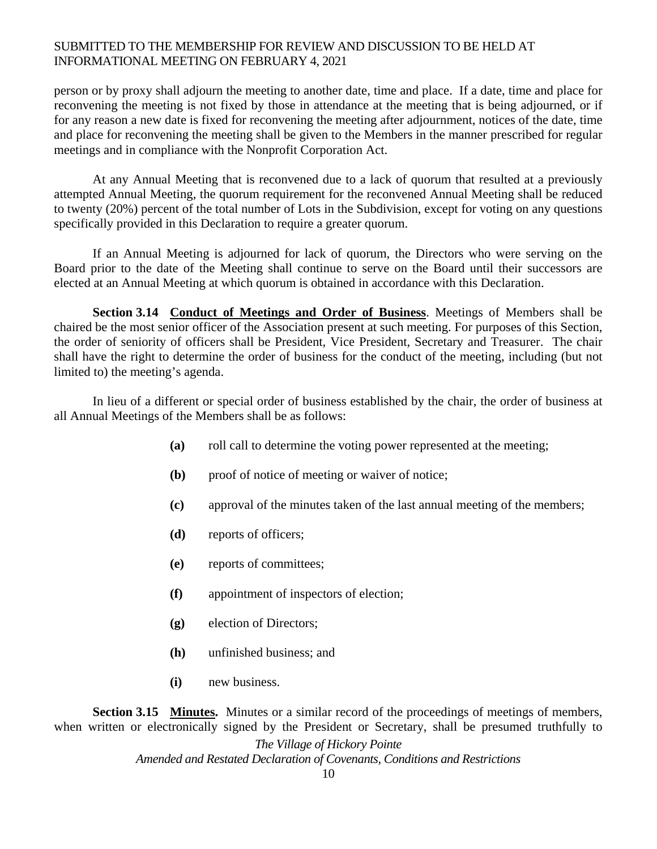person or by proxy shall adjourn the meeting to another date, time and place. If a date, time and place for reconvening the meeting is not fixed by those in attendance at the meeting that is being adjourned, or if for any reason a new date is fixed for reconvening the meeting after adjournment, notices of the date, time and place for reconvening the meeting shall be given to the Members in the manner prescribed for regular meetings and in compliance with the Nonprofit Corporation Act.

At any Annual Meeting that is reconvened due to a lack of quorum that resulted at a previously attempted Annual Meeting, the quorum requirement for the reconvened Annual Meeting shall be reduced to twenty (20%) percent of the total number of Lots in the Subdivision, except for voting on any questions specifically provided in this Declaration to require a greater quorum.

If an Annual Meeting is adjourned for lack of quorum, the Directors who were serving on the Board prior to the date of the Meeting shall continue to serve on the Board until their successors are elected at an Annual Meeting at which quorum is obtained in accordance with this Declaration.

**Section 3.14 Conduct of Meetings and Order of Business**. Meetings of Members shall be chaired be the most senior officer of the Association present at such meeting. For purposes of this Section, the order of seniority of officers shall be President, Vice President, Secretary and Treasurer. The chair shall have the right to determine the order of business for the conduct of the meeting, including (but not limited to) the meeting's agenda.

In lieu of a different or special order of business established by the chair, the order of business at all Annual Meetings of the Members shall be as follows:

- **(a)** roll call to determine the voting power represented at the meeting;
- **(b)** proof of notice of meeting or waiver of notice;
- **(c)** approval of the minutes taken of the last annual meeting of the members;
- **(d)** reports of officers;
- **(e)** reports of committees;
- **(f)** appointment of inspectors of election;
- **(g)** election of Directors;
- **(h)** unfinished business; and
- **(i)** new business.

**Section 3.15 Minutes.** Minutes or a similar record of the proceedings of meetings of members, when written or electronically signed by the President or Secretary, shall be presumed truthfully to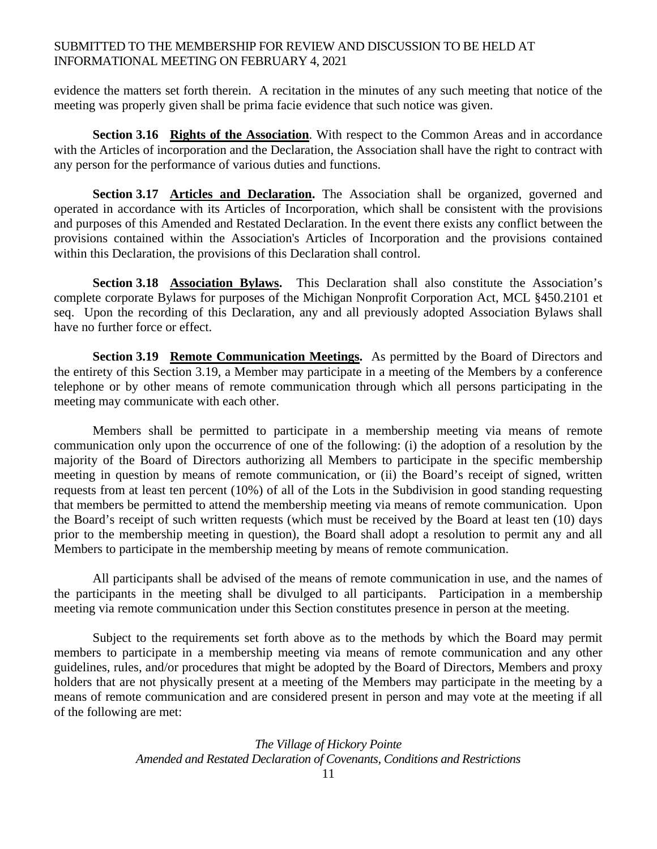evidence the matters set forth therein. A recitation in the minutes of any such meeting that notice of the meeting was properly given shall be prima facie evidence that such notice was given.

**Section 3.16 Rights of the Association**. With respect to the Common Areas and in accordance with the Articles of incorporation and the Declaration, the Association shall have the right to contract with any person for the performance of various duties and functions.

**Section 3.17 Articles and Declaration.** The Association shall be organized, governed and operated in accordance with its Articles of Incorporation, which shall be consistent with the provisions and purposes of this Amended and Restated Declaration. In the event there exists any conflict between the provisions contained within the Association's Articles of Incorporation and the provisions contained within this Declaration, the provisions of this Declaration shall control.

**Section 3.18 Association Bylaws.** This Declaration shall also constitute the Association's complete corporate Bylaws for purposes of the Michigan Nonprofit Corporation Act, MCL §450.2101 et seq. Upon the recording of this Declaration, any and all previously adopted Association Bylaws shall have no further force or effect.

**Section 3.19 Remote Communication Meetings.** As permitted by the Board of Directors and the entirety of this Section 3.19, a Member may participate in a meeting of the Members by a conference telephone or by other means of remote communication through which all persons participating in the meeting may communicate with each other.

 Members shall be permitted to participate in a membership meeting via means of remote communication only upon the occurrence of one of the following: (i) the adoption of a resolution by the majority of the Board of Directors authorizing all Members to participate in the specific membership meeting in question by means of remote communication, or (ii) the Board's receipt of signed, written requests from at least ten percent (10%) of all of the Lots in the Subdivision in good standing requesting that members be permitted to attend the membership meeting via means of remote communication. Upon the Board's receipt of such written requests (which must be received by the Board at least ten (10) days prior to the membership meeting in question), the Board shall adopt a resolution to permit any and all Members to participate in the membership meeting by means of remote communication.

All participants shall be advised of the means of remote communication in use, and the names of the participants in the meeting shall be divulged to all participants. Participation in a membership meeting via remote communication under this Section constitutes presence in person at the meeting.

Subject to the requirements set forth above as to the methods by which the Board may permit members to participate in a membership meeting via means of remote communication and any other guidelines, rules, and/or procedures that might be adopted by the Board of Directors, Members and proxy holders that are not physically present at a meeting of the Members may participate in the meeting by a means of remote communication and are considered present in person and may vote at the meeting if all of the following are met: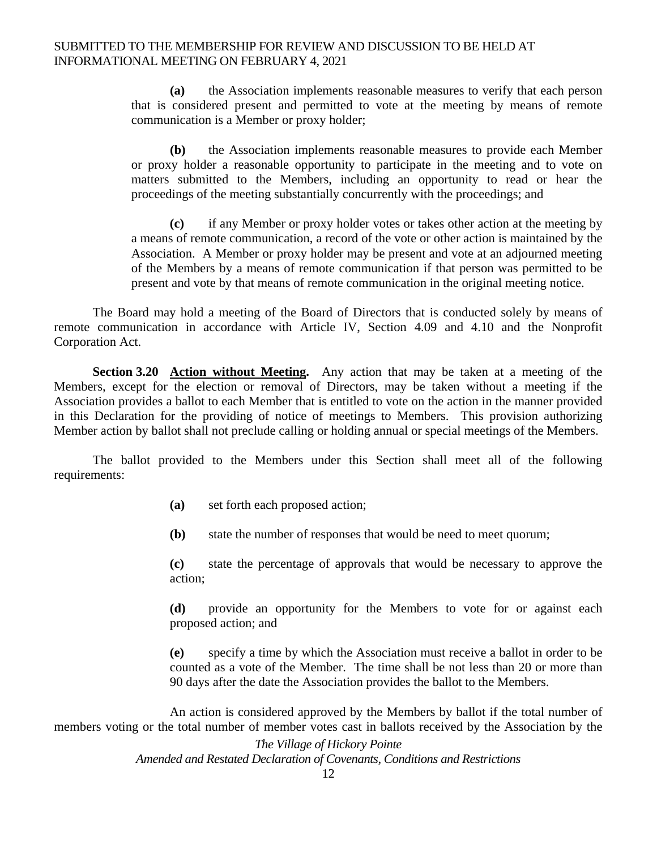**(a)** the Association implements reasonable measures to verify that each person that is considered present and permitted to vote at the meeting by means of remote communication is a Member or proxy holder;

**(b)** the Association implements reasonable measures to provide each Member or proxy holder a reasonable opportunity to participate in the meeting and to vote on matters submitted to the Members, including an opportunity to read or hear the proceedings of the meeting substantially concurrently with the proceedings; and

**(c)** if any Member or proxy holder votes or takes other action at the meeting by a means of remote communication, a record of the vote or other action is maintained by the Association. A Member or proxy holder may be present and vote at an adjourned meeting of the Members by a means of remote communication if that person was permitted to be present and vote by that means of remote communication in the original meeting notice.

The Board may hold a meeting of the Board of Directors that is conducted solely by means of remote communication in accordance with Article IV, Section 4.09 and 4.10 and the Nonprofit Corporation Act.

 **Section 3.20 Action without Meeting.** Any action that may be taken at a meeting of the Members, except for the election or removal of Directors, may be taken without a meeting if the Association provides a ballot to each Member that is entitled to vote on the action in the manner provided in this Declaration for the providing of notice of meetings to Members. This provision authorizing Member action by ballot shall not preclude calling or holding annual or special meetings of the Members.

The ballot provided to the Members under this Section shall meet all of the following requirements:

- **(a)** set forth each proposed action;
- **(b)** state the number of responses that would be need to meet quorum;

**(c)** state the percentage of approvals that would be necessary to approve the action;

**(d)** provide an opportunity for the Members to vote for or against each proposed action; and

**(e)** specify a time by which the Association must receive a ballot in order to be counted as a vote of the Member. The time shall be not less than 20 or more than 90 days after the date the Association provides the ballot to the Members.

An action is considered approved by the Members by ballot if the total number of members voting or the total number of member votes cast in ballots received by the Association by the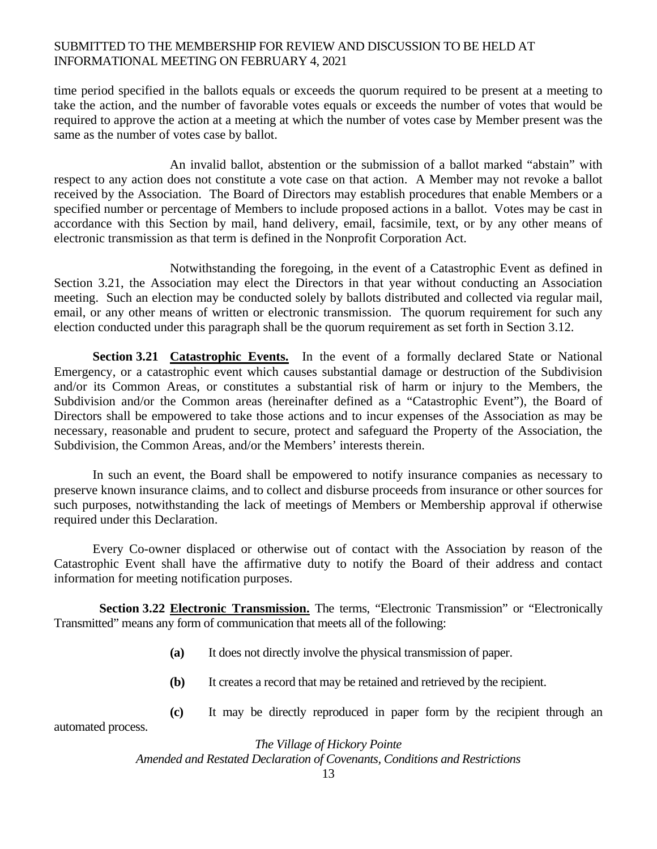time period specified in the ballots equals or exceeds the quorum required to be present at a meeting to take the action, and the number of favorable votes equals or exceeds the number of votes that would be required to approve the action at a meeting at which the number of votes case by Member present was the same as the number of votes case by ballot.

An invalid ballot, abstention or the submission of a ballot marked "abstain" with respect to any action does not constitute a vote case on that action. A Member may not revoke a ballot received by the Association. The Board of Directors may establish procedures that enable Members or a specified number or percentage of Members to include proposed actions in a ballot. Votes may be cast in accordance with this Section by mail, hand delivery, email, facsimile, text, or by any other means of electronic transmission as that term is defined in the Nonprofit Corporation Act.

Notwithstanding the foregoing, in the event of a Catastrophic Event as defined in Section 3.21, the Association may elect the Directors in that year without conducting an Association meeting. Such an election may be conducted solely by ballots distributed and collected via regular mail, email, or any other means of written or electronic transmission. The quorum requirement for such any election conducted under this paragraph shall be the quorum requirement as set forth in Section 3.12.

**Section 3.21 Catastrophic Events.** In the event of a formally declared State or National Emergency, or a catastrophic event which causes substantial damage or destruction of the Subdivision and/or its Common Areas, or constitutes a substantial risk of harm or injury to the Members, the Subdivision and/or the Common areas (hereinafter defined as a "Catastrophic Event"), the Board of Directors shall be empowered to take those actions and to incur expenses of the Association as may be necessary, reasonable and prudent to secure, protect and safeguard the Property of the Association, the Subdivision, the Common Areas, and/or the Members' interests therein.

 In such an event, the Board shall be empowered to notify insurance companies as necessary to preserve known insurance claims, and to collect and disburse proceeds from insurance or other sources for such purposes, notwithstanding the lack of meetings of Members or Membership approval if otherwise required under this Declaration.

 Every Co-owner displaced or otherwise out of contact with the Association by reason of the Catastrophic Event shall have the affirmative duty to notify the Board of their address and contact information for meeting notification purposes.

 **Section 3.22 Electronic Transmission.** The terms, "Electronic Transmission" or "Electronically Transmitted" means any form of communication that meets all of the following:

- **(a)** It does not directly involve the physical transmission of paper.
- **(b)** It creates a record that may be retained and retrieved by the recipient.
- **(c)** It may be directly reproduced in paper form by the recipient through an

*The Village of Hickory Pointe Amended and Restated Declaration of Covenants, Conditions and Restrictions* 

automated process.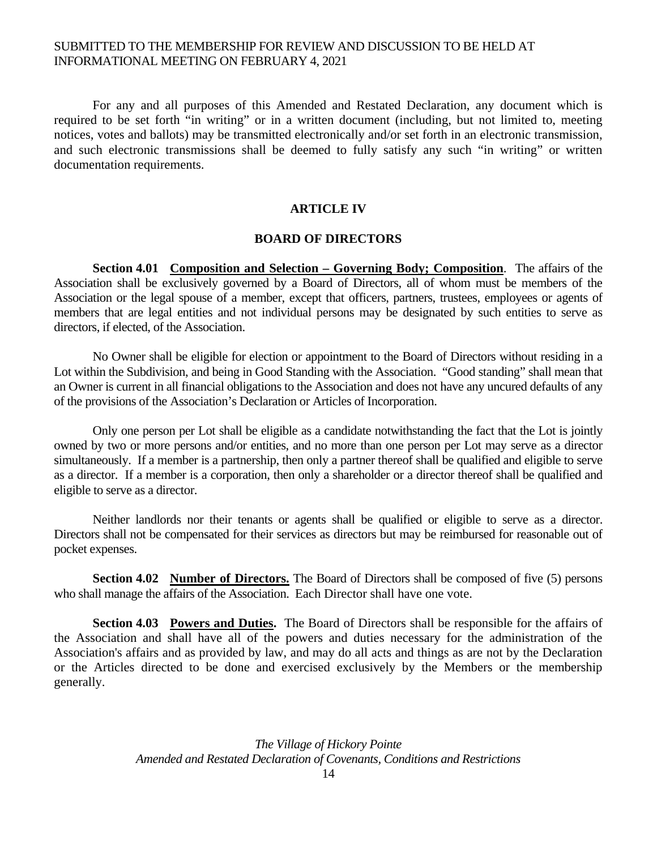For any and all purposes of this Amended and Restated Declaration, any document which is required to be set forth "in writing" or in a written document (including, but not limited to, meeting notices, votes and ballots) may be transmitted electronically and/or set forth in an electronic transmission, and such electronic transmissions shall be deemed to fully satisfy any such "in writing" or written documentation requirements.

#### **ARTICLE IV**

#### **BOARD OF DIRECTORS**

**Section 4.01 Composition and Selection – Governing Body; Composition**. The affairs of the Association shall be exclusively governed by a Board of Directors, all of whom must be members of the Association or the legal spouse of a member, except that officers, partners, trustees, employees or agents of members that are legal entities and not individual persons may be designated by such entities to serve as directors, if elected, of the Association.

No Owner shall be eligible for election or appointment to the Board of Directors without residing in a Lot within the Subdivision, and being in Good Standing with the Association. "Good standing" shall mean that an Owner is current in all financial obligations to the Association and does not have any uncured defaults of any of the provisions of the Association's Declaration or Articles of Incorporation.

Only one person per Lot shall be eligible as a candidate notwithstanding the fact that the Lot is jointly owned by two or more persons and/or entities, and no more than one person per Lot may serve as a director simultaneously. If a member is a partnership, then only a partner thereof shall be qualified and eligible to serve as a director. If a member is a corporation, then only a shareholder or a director thereof shall be qualified and eligible to serve as a director.

Neither landlords nor their tenants or agents shall be qualified or eligible to serve as a director. Directors shall not be compensated for their services as directors but may be reimbursed for reasonable out of pocket expenses.

**Section 4.02 Number of Directors.** The Board of Directors shall be composed of five (5) persons who shall manage the affairs of the Association. Each Director shall have one vote.

 **Section 4.03 Powers and Duties.** The Board of Directors shall be responsible for the affairs of the Association and shall have all of the powers and duties necessary for the administration of the Association's affairs and as provided by law, and may do all acts and things as are not by the Declaration or the Articles directed to be done and exercised exclusively by the Members or the membership generally.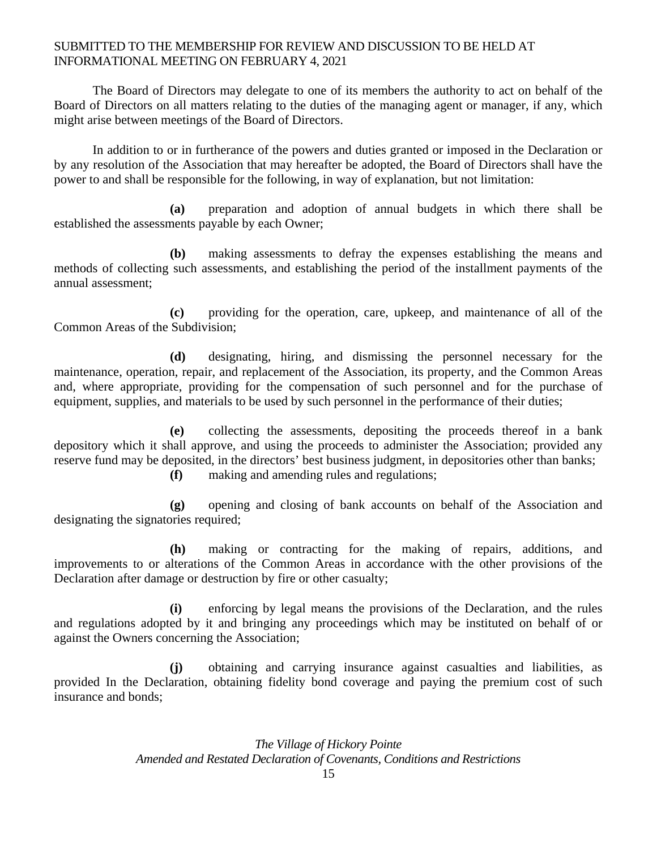The Board of Directors may delegate to one of its members the authority to act on behalf of the Board of Directors on all matters relating to the duties of the managing agent or manager, if any, which might arise between meetings of the Board of Directors.

 In addition to or in furtherance of the powers and duties granted or imposed in the Declaration or by any resolution of the Association that may hereafter be adopted, the Board of Directors shall have the power to and shall be responsible for the following, in way of explanation, but not limitation:

 **(a)** preparation and adoption of annual budgets in which there shall be established the assessments payable by each Owner;

 **(b)** making assessments to defray the expenses establishing the means and methods of collecting such assessments, and establishing the period of the installment payments of the annual assessment;

 **(c)** providing for the operation, care, upkeep, and maintenance of all of the Common Areas of the Subdivision;

 **(d)** designating, hiring, and dismissing the personnel necessary for the maintenance, operation, repair, and replacement of the Association, its property, and the Common Areas and, where appropriate, providing for the compensation of such personnel and for the purchase of equipment, supplies, and materials to be used by such personnel in the performance of their duties;

 **(e)** collecting the assessments, depositing the proceeds thereof in a bank depository which it shall approve, and using the proceeds to administer the Association; provided any reserve fund may be deposited, in the directors' best business judgment, in depositories other than banks; **(f)** making and amending rules and regulations;

 **(g)** opening and closing of bank accounts on behalf of the Association and designating the signatories required;

 **(h)** making or contracting for the making of repairs, additions, and improvements to or alterations of the Common Areas in accordance with the other provisions of the Declaration after damage or destruction by fire or other casualty;

 **(i)** enforcing by legal means the provisions of the Declaration, and the rules and regulations adopted by it and bringing any proceedings which may be instituted on behalf of or against the Owners concerning the Association;

 **(j)** obtaining and carrying insurance against casualties and liabilities, as provided In the Declaration, obtaining fidelity bond coverage and paying the premium cost of such insurance and bonds;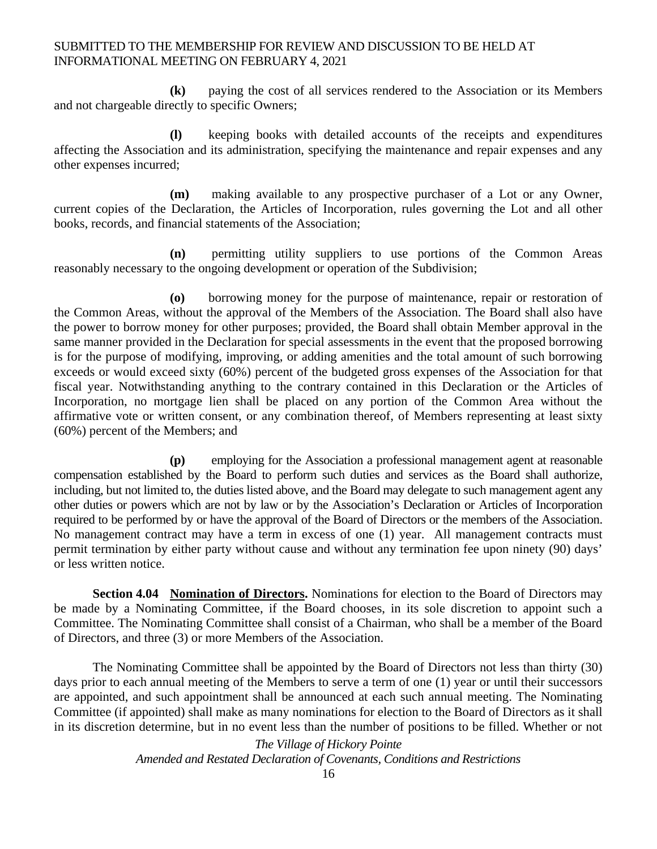**(k)** paying the cost of all services rendered to the Association or its Members and not chargeable directly to specific Owners;

 **(l)** keeping books with detailed accounts of the receipts and expenditures affecting the Association and its administration, specifying the maintenance and repair expenses and any other expenses incurred;

 **(m)** making available to any prospective purchaser of a Lot or any Owner, current copies of the Declaration, the Articles of Incorporation, rules governing the Lot and all other books, records, and financial statements of the Association;

 **(n)** permitting utility suppliers to use portions of the Common Areas reasonably necessary to the ongoing development or operation of the Subdivision;

 **(o)** borrowing money for the purpose of maintenance, repair or restoration of the Common Areas, without the approval of the Members of the Association. The Board shall also have the power to borrow money for other purposes; provided, the Board shall obtain Member approval in the same manner provided in the Declaration for special assessments in the event that the proposed borrowing is for the purpose of modifying, improving, or adding amenities and the total amount of such borrowing exceeds or would exceed sixty (60%) percent of the budgeted gross expenses of the Association for that fiscal year. Notwithstanding anything to the contrary contained in this Declaration or the Articles of Incorporation, no mortgage lien shall be placed on any portion of the Common Area without the affirmative vote or written consent, or any combination thereof, of Members representing at least sixty (60%) percent of the Members; and

 **(p)** employing for the Association a professional management agent at reasonable compensation established by the Board to perform such duties and services as the Board shall authorize, including, but not limited to, the duties listed above, and the Board may delegate to such management agent any other duties or powers which are not by law or by the Association's Declaration or Articles of Incorporation required to be performed by or have the approval of the Board of Directors or the members of the Association. No management contract may have a term in excess of one (1) year. All management contracts must permit termination by either party without cause and without any termination fee upon ninety (90) days' or less written notice.

**Section 4.04 Nomination of Directors.** Nominations for election to the Board of Directors may be made by a Nominating Committee, if the Board chooses, in its sole discretion to appoint such a Committee. The Nominating Committee shall consist of a Chairman, who shall be a member of the Board of Directors, and three (3) or more Members of the Association.

The Nominating Committee shall be appointed by the Board of Directors not less than thirty (30) days prior to each annual meeting of the Members to serve a term of one (1) year or until their successors are appointed, and such appointment shall be announced at each such annual meeting. The Nominating Committee (if appointed) shall make as many nominations for election to the Board of Directors as it shall in its discretion determine, but in no event less than the number of positions to be filled. Whether or not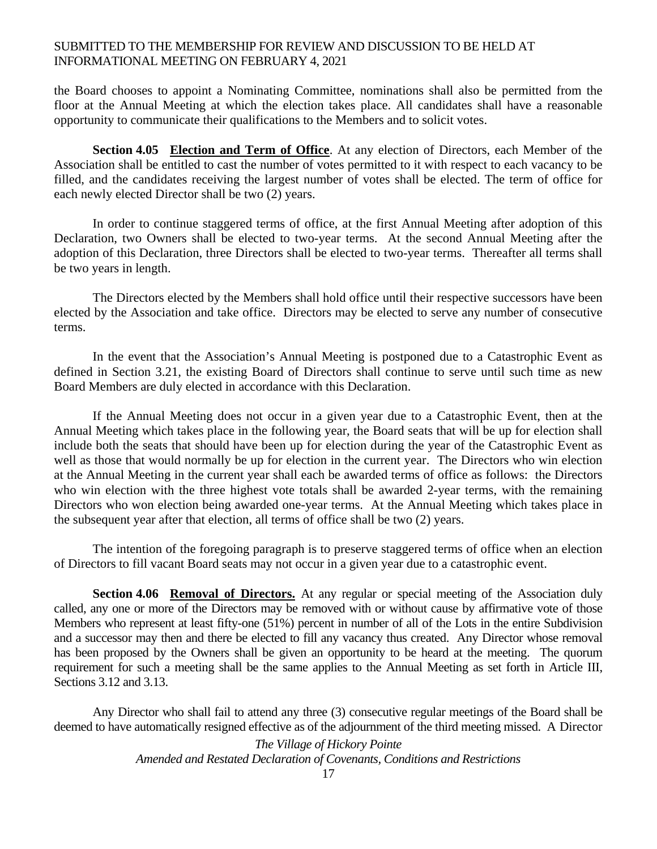the Board chooses to appoint a Nominating Committee, nominations shall also be permitted from the floor at the Annual Meeting at which the election takes place. All candidates shall have a reasonable opportunity to communicate their qualifications to the Members and to solicit votes.

**Section 4.05 Election and Term of Office**. At any election of Directors, each Member of the Association shall be entitled to cast the number of votes permitted to it with respect to each vacancy to be filled, and the candidates receiving the largest number of votes shall be elected. The term of office for each newly elected Director shall be two (2) years.

In order to continue staggered terms of office, at the first Annual Meeting after adoption of this Declaration, two Owners shall be elected to two-year terms. At the second Annual Meeting after the adoption of this Declaration, three Directors shall be elected to two-year terms. Thereafter all terms shall be two years in length.

The Directors elected by the Members shall hold office until their respective successors have been elected by the Association and take office. Directors may be elected to serve any number of consecutive terms.

In the event that the Association's Annual Meeting is postponed due to a Catastrophic Event as defined in Section 3.21, the existing Board of Directors shall continue to serve until such time as new Board Members are duly elected in accordance with this Declaration.

If the Annual Meeting does not occur in a given year due to a Catastrophic Event, then at the Annual Meeting which takes place in the following year, the Board seats that will be up for election shall include both the seats that should have been up for election during the year of the Catastrophic Event as well as those that would normally be up for election in the current year. The Directors who win election at the Annual Meeting in the current year shall each be awarded terms of office as follows: the Directors who win election with the three highest vote totals shall be awarded 2-year terms, with the remaining Directors who won election being awarded one-year terms. At the Annual Meeting which takes place in the subsequent year after that election, all terms of office shall be two (2) years.

The intention of the foregoing paragraph is to preserve staggered terms of office when an election of Directors to fill vacant Board seats may not occur in a given year due to a catastrophic event.

Section 4.06 Removal of Directors. At any regular or special meeting of the Association duly called, any one or more of the Directors may be removed with or without cause by affirmative vote of those Members who represent at least fifty-one (51%) percent in number of all of the Lots in the entire Subdivision and a successor may then and there be elected to fill any vacancy thus created. Any Director whose removal has been proposed by the Owners shall be given an opportunity to be heard at the meeting. The quorum requirement for such a meeting shall be the same applies to the Annual Meeting as set forth in Article III, Sections 3.12 and 3.13.

Any Director who shall fail to attend any three (3) consecutive regular meetings of the Board shall be deemed to have automatically resigned effective as of the adjournment of the third meeting missed. A Director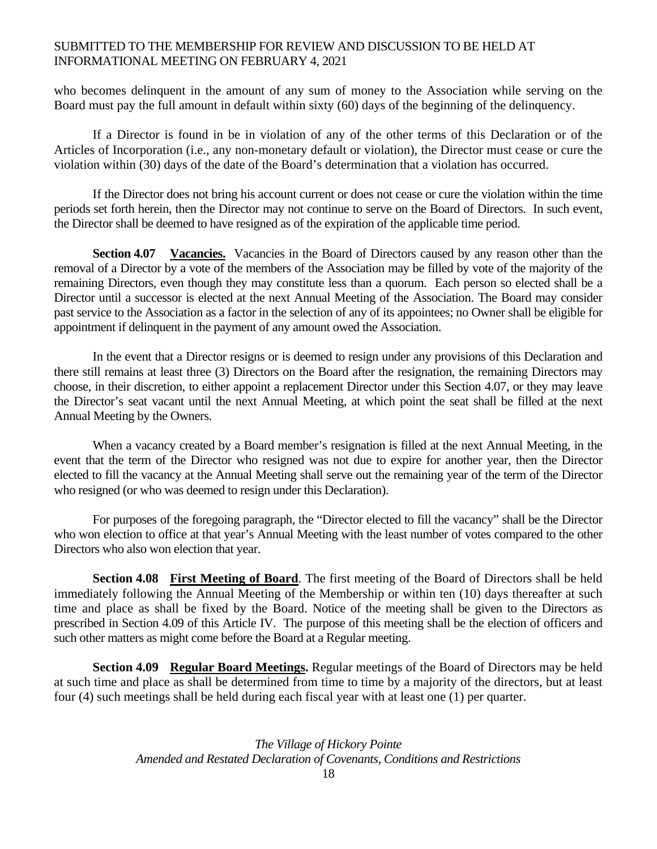who becomes delinquent in the amount of any sum of money to the Association while serving on the Board must pay the full amount in default within sixty (60) days of the beginning of the delinquency.

If a Director is found in be in violation of any of the other terms of this Declaration or of the Articles of Incorporation (i.e., any non-monetary default or violation), the Director must cease or cure the violation within (30) days of the date of the Board's determination that a violation has occurred.

If the Director does not bring his account current or does not cease or cure the violation within the time periods set forth herein, then the Director may not continue to serve on the Board of Directors. In such event, the Director shall be deemed to have resigned as of the expiration of the applicable time period.

**Section 4.07 Vacancies.** Vacancies in the Board of Directors caused by any reason other than the removal of a Director by a vote of the members of the Association may be filled by vote of the majority of the remaining Directors, even though they may constitute less than a quorum. Each person so elected shall be a Director until a successor is elected at the next Annual Meeting of the Association. The Board may consider past service to the Association as a factor in the selection of any of its appointees; no Owner shall be eligible for appointment if delinquent in the payment of any amount owed the Association.

 In the event that a Director resigns or is deemed to resign under any provisions of this Declaration and there still remains at least three (3) Directors on the Board after the resignation, the remaining Directors may choose, in their discretion, to either appoint a replacement Director under this Section 4.07, or they may leave the Director's seat vacant until the next Annual Meeting, at which point the seat shall be filled at the next Annual Meeting by the Owners.

 When a vacancy created by a Board member's resignation is filled at the next Annual Meeting, in the event that the term of the Director who resigned was not due to expire for another year, then the Director elected to fill the vacancy at the Annual Meeting shall serve out the remaining year of the term of the Director who resigned (or who was deemed to resign under this Declaration).

 For purposes of the foregoing paragraph, the "Director elected to fill the vacancy" shall be the Director who won election to office at that year's Annual Meeting with the least number of votes compared to the other Directors who also won election that year.

**Section 4.08 First Meeting of Board**. The first meeting of the Board of Directors shall be held immediately following the Annual Meeting of the Membership or within ten (10) days thereafter at such time and place as shall be fixed by the Board. Notice of the meeting shall be given to the Directors as prescribed in Section 4.09 of this Article IV. The purpose of this meeting shall be the election of officers and such other matters as might come before the Board at a Regular meeting.

**Section 4.09 Regular Board Meetings.** Regular meetings of the Board of Directors may be held at such time and place as shall be determined from time to time by a majority of the directors, but at least four (4) such meetings shall be held during each fiscal year with at least one (1) per quarter.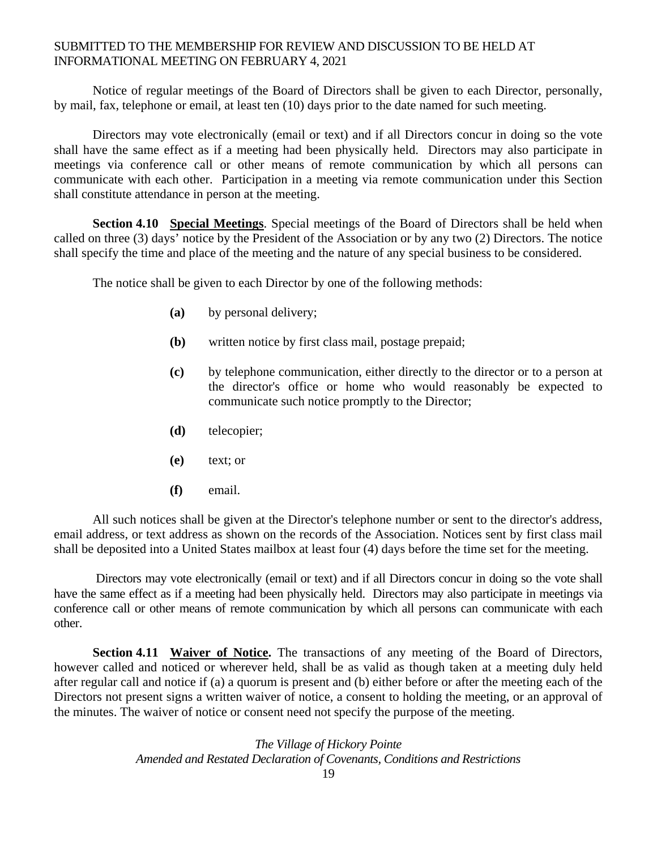Notice of regular meetings of the Board of Directors shall be given to each Director, personally, by mail, fax, telephone or email, at least ten (10) days prior to the date named for such meeting.

Directors may vote electronically (email or text) and if all Directors concur in doing so the vote shall have the same effect as if a meeting had been physically held. Directors may also participate in meetings via conference call or other means of remote communication by which all persons can communicate with each other. Participation in a meeting via remote communication under this Section shall constitute attendance in person at the meeting.

**Section 4.10 Special Meetings**. Special meetings of the Board of Directors shall be held when called on three (3) days' notice by the President of the Association or by any two (2) Directors. The notice shall specify the time and place of the meeting and the nature of any special business to be considered.

The notice shall be given to each Director by one of the following methods:

- **(a)** by personal delivery;
- **(b)** written notice by first class mail, postage prepaid;
- **(c)** by telephone communication, either directly to the director or to a person at the director's office or home who would reasonably be expected to communicate such notice promptly to the Director;
- **(d)** telecopier;
- **(e)** text; or
- **(f)** email.

All such notices shall be given at the Director's telephone number or sent to the director's address, email address, or text address as shown on the records of the Association. Notices sent by first class mail shall be deposited into a United States mailbox at least four (4) days before the time set for the meeting.

 Directors may vote electronically (email or text) and if all Directors concur in doing so the vote shall have the same effect as if a meeting had been physically held. Directors may also participate in meetings via conference call or other means of remote communication by which all persons can communicate with each other.

 **Section 4.11 Waiver of Notice.** The transactions of any meeting of the Board of Directors, however called and noticed or wherever held, shall be as valid as though taken at a meeting duly held after regular call and notice if (a) a quorum is present and (b) either before or after the meeting each of the Directors not present signs a written waiver of notice, a consent to holding the meeting, or an approval of the minutes. The waiver of notice or consent need not specify the purpose of the meeting.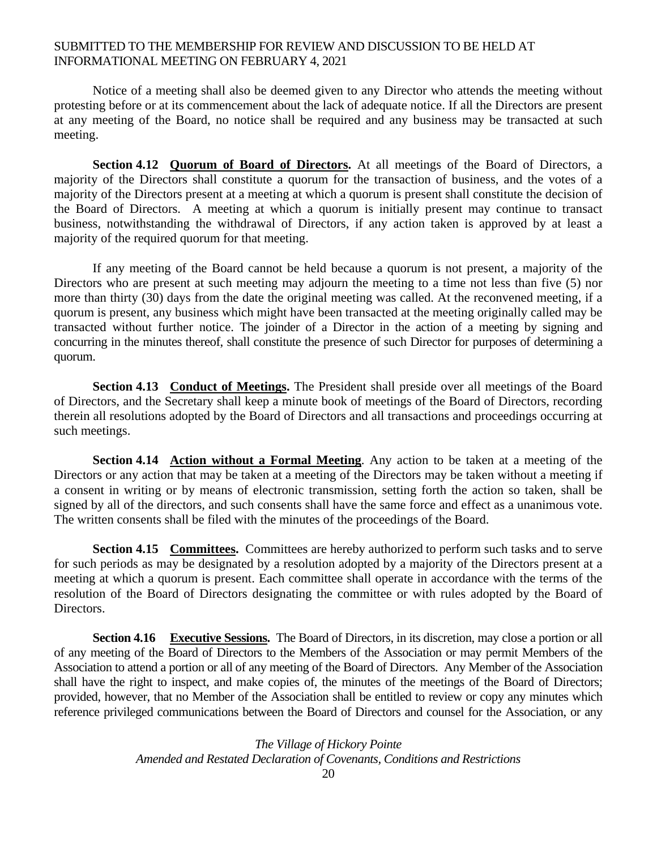Notice of a meeting shall also be deemed given to any Director who attends the meeting without protesting before or at its commencement about the lack of adequate notice. If all the Directors are present at any meeting of the Board, no notice shall be required and any business may be transacted at such meeting.

**Section 4.12 Quorum of Board of Directors.** At all meetings of the Board of Directors, a majority of the Directors shall constitute a quorum for the transaction of business, and the votes of a majority of the Directors present at a meeting at which a quorum is present shall constitute the decision of the Board of Directors. A meeting at which a quorum is initially present may continue to transact business, notwithstanding the withdrawal of Directors, if any action taken is approved by at least a majority of the required quorum for that meeting.

If any meeting of the Board cannot be held because a quorum is not present, a majority of the Directors who are present at such meeting may adjourn the meeting to a time not less than five (5) nor more than thirty (30) days from the date the original meeting was called. At the reconvened meeting, if a quorum is present, any business which might have been transacted at the meeting originally called may be transacted without further notice. The joinder of a Director in the action of a meeting by signing and concurring in the minutes thereof, shall constitute the presence of such Director for purposes of determining a quorum.

**Section 4.13 Conduct of Meetings.** The President shall preside over all meetings of the Board of Directors, and the Secretary shall keep a minute book of meetings of the Board of Directors, recording therein all resolutions adopted by the Board of Directors and all transactions and proceedings occurring at such meetings.

**Section 4.14 Action without a Formal Meeting**. Any action to be taken at a meeting of the Directors or any action that may be taken at a meeting of the Directors may be taken without a meeting if a consent in writing or by means of electronic transmission, setting forth the action so taken, shall be signed by all of the directors, and such consents shall have the same force and effect as a unanimous vote. The written consents shall be filed with the minutes of the proceedings of the Board.

**Section 4.15 Committees.** Committees are hereby authorized to perform such tasks and to serve for such periods as may be designated by a resolution adopted by a majority of the Directors present at a meeting at which a quorum is present. Each committee shall operate in accordance with the terms of the resolution of the Board of Directors designating the committee or with rules adopted by the Board of Directors.

**Section 4.16 Executive Sessions.** The Board of Directors, in its discretion, may close a portion or all of any meeting of the Board of Directors to the Members of the Association or may permit Members of the Association to attend a portion or all of any meeting of the Board of Directors. Any Member of the Association shall have the right to inspect, and make copies of, the minutes of the meetings of the Board of Directors; provided, however, that no Member of the Association shall be entitled to review or copy any minutes which reference privileged communications between the Board of Directors and counsel for the Association, or any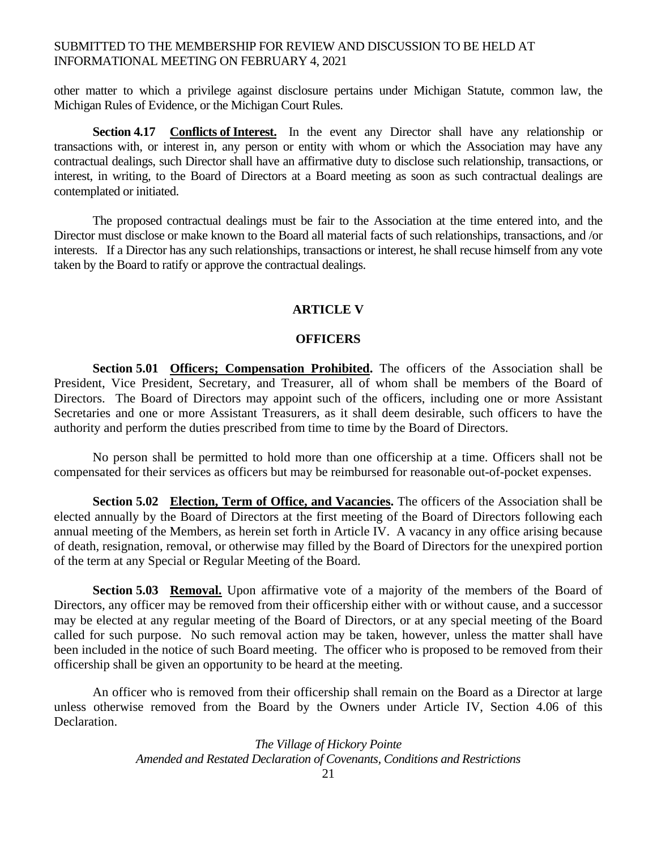other matter to which a privilege against disclosure pertains under Michigan Statute, common law, the Michigan Rules of Evidence, or the Michigan Court Rules.

**Section 4.17 Conflicts of Interest.** In the event any Director shall have any relationship or transactions with, or interest in, any person or entity with whom or which the Association may have any contractual dealings, such Director shall have an affirmative duty to disclose such relationship, transactions, or interest, in writing, to the Board of Directors at a Board meeting as soon as such contractual dealings are contemplated or initiated.

The proposed contractual dealings must be fair to the Association at the time entered into, and the Director must disclose or make known to the Board all material facts of such relationships, transactions, and /or interests. If a Director has any such relationships, transactions or interest, he shall recuse himself from any vote taken by the Board to ratify or approve the contractual dealings.

#### **ARTICLE V**

#### **OFFICERS**

**Section 5.01 Officers; Compensation Prohibited.** The officers of the Association shall be President, Vice President, Secretary, and Treasurer, all of whom shall be members of the Board of Directors. The Board of Directors may appoint such of the officers, including one or more Assistant Secretaries and one or more Assistant Treasurers, as it shall deem desirable, such officers to have the authority and perform the duties prescribed from time to time by the Board of Directors.

 No person shall be permitted to hold more than one officership at a time. Officers shall not be compensated for their services as officers but may be reimbursed for reasonable out-of-pocket expenses.

**Section 5.02 Election, Term of Office, and Vacancies.** The officers of the Association shall be elected annually by the Board of Directors at the first meeting of the Board of Directors following each annual meeting of the Members, as herein set forth in Article IV. A vacancy in any office arising because of death, resignation, removal, or otherwise may filled by the Board of Directors for the unexpired portion of the term at any Special or Regular Meeting of the Board.

**Section 5.03 Removal.** Upon affirmative vote of a majority of the members of the Board of Directors, any officer may be removed from their officership either with or without cause, and a successor may be elected at any regular meeting of the Board of Directors, or at any special meeting of the Board called for such purpose. No such removal action may be taken, however, unless the matter shall have been included in the notice of such Board meeting. The officer who is proposed to be removed from their officership shall be given an opportunity to be heard at the meeting.

An officer who is removed from their officership shall remain on the Board as a Director at large unless otherwise removed from the Board by the Owners under Article IV, Section 4.06 of this Declaration.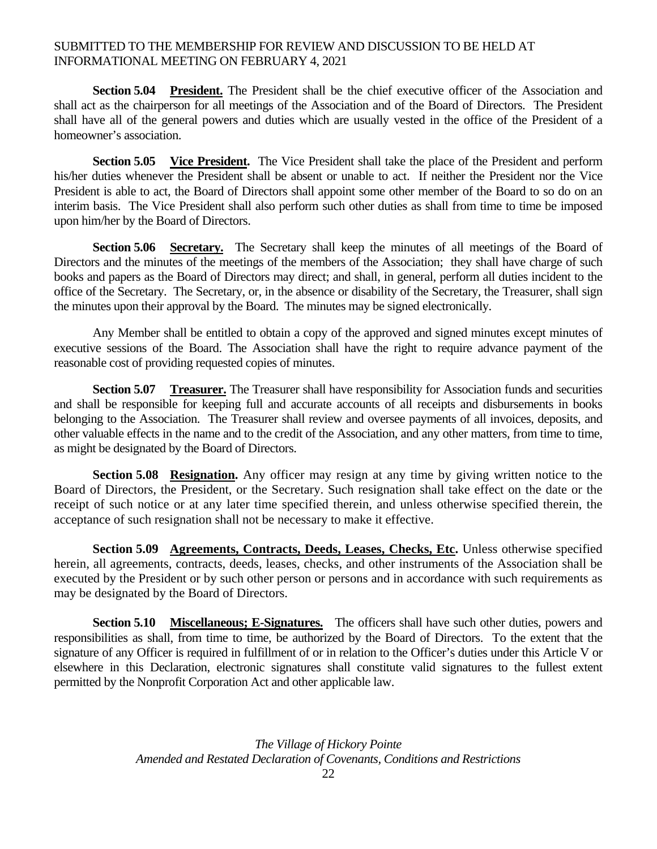**Section 5.04 President.** The President shall be the chief executive officer of the Association and shall act as the chairperson for all meetings of the Association and of the Board of Directors. The President shall have all of the general powers and duties which are usually vested in the office of the President of a homeowner's association.

 **Section 5.05 Vice President.** The Vice President shall take the place of the President and perform his/her duties whenever the President shall be absent or unable to act. If neither the President nor the Vice President is able to act, the Board of Directors shall appoint some other member of the Board to so do on an interim basis. The Vice President shall also perform such other duties as shall from time to time be imposed upon him/her by the Board of Directors.

Section 5.06 Secretary. The Secretary shall keep the minutes of all meetings of the Board of Directors and the minutes of the meetings of the members of the Association; they shall have charge of such books and papers as the Board of Directors may direct; and shall, in general, perform all duties incident to the office of the Secretary. The Secretary, or, in the absence or disability of the Secretary, the Treasurer, shall sign the minutes upon their approval by the Board. The minutes may be signed electronically.

Any Member shall be entitled to obtain a copy of the approved and signed minutes except minutes of executive sessions of the Board. The Association shall have the right to require advance payment of the reasonable cost of providing requested copies of minutes.

**Section 5.07 Treasurer.** The Treasurer shall have responsibility for Association funds and securities and shall be responsible for keeping full and accurate accounts of all receipts and disbursements in books belonging to the Association. The Treasurer shall review and oversee payments of all invoices, deposits, and other valuable effects in the name and to the credit of the Association, and any other matters, from time to time, as might be designated by the Board of Directors.

**Section 5.08 Resignation.** Any officer may resign at any time by giving written notice to the Board of Directors, the President, or the Secretary. Such resignation shall take effect on the date or the receipt of such notice or at any later time specified therein, and unless otherwise specified therein, the acceptance of such resignation shall not be necessary to make it effective.

**Section 5.09 Agreements, Contracts, Deeds, Leases, Checks, Etc.** Unless otherwise specified herein, all agreements, contracts, deeds, leases, checks, and other instruments of the Association shall be executed by the President or by such other person or persons and in accordance with such requirements as may be designated by the Board of Directors.

**Section 5.10 Miscellaneous; E-Signatures.** The officers shall have such other duties, powers and responsibilities as shall, from time to time, be authorized by the Board of Directors. To the extent that the signature of any Officer is required in fulfillment of or in relation to the Officer's duties under this Article V or elsewhere in this Declaration, electronic signatures shall constitute valid signatures to the fullest extent permitted by the Nonprofit Corporation Act and other applicable law.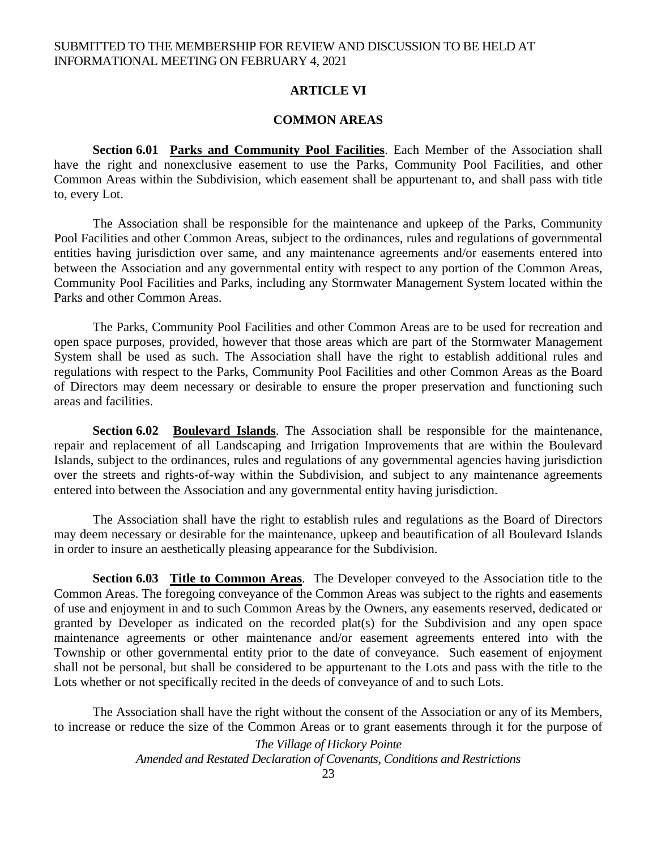## **ARTICLE VI**

### **COMMON AREAS**

**Section 6.01 Parks and Community Pool Facilities**. Each Member of the Association shall have the right and nonexclusive easement to use the Parks, Community Pool Facilities, and other Common Areas within the Subdivision, which easement shall be appurtenant to, and shall pass with title to, every Lot.

The Association shall be responsible for the maintenance and upkeep of the Parks, Community Pool Facilities and other Common Areas, subject to the ordinances, rules and regulations of governmental entities having jurisdiction over same, and any maintenance agreements and/or easements entered into between the Association and any governmental entity with respect to any portion of the Common Areas, Community Pool Facilities and Parks, including any Stormwater Management System located within the Parks and other Common Areas.

The Parks, Community Pool Facilities and other Common Areas are to be used for recreation and open space purposes, provided, however that those areas which are part of the Stormwater Management System shall be used as such. The Association shall have the right to establish additional rules and regulations with respect to the Parks, Community Pool Facilities and other Common Areas as the Board of Directors may deem necessary or desirable to ensure the proper preservation and functioning such areas and facilities.

**Section 6.02 Boulevard Islands**. The Association shall be responsible for the maintenance, repair and replacement of all Landscaping and Irrigation Improvements that are within the Boulevard Islands, subject to the ordinances, rules and regulations of any governmental agencies having jurisdiction over the streets and rights-of-way within the Subdivision, and subject to any maintenance agreements entered into between the Association and any governmental entity having jurisdiction.

The Association shall have the right to establish rules and regulations as the Board of Directors may deem necessary or desirable for the maintenance, upkeep and beautification of all Boulevard Islands in order to insure an aesthetically pleasing appearance for the Subdivision.

**Section 6.03 Title to Common Areas**. The Developer conveyed to the Association title to the Common Areas. The foregoing conveyance of the Common Areas was subject to the rights and easements of use and enjoyment in and to such Common Areas by the Owners, any easements reserved, dedicated or granted by Developer as indicated on the recorded plat(s) for the Subdivision and any open space maintenance agreements or other maintenance and/or easement agreements entered into with the Township or other governmental entity prior to the date of conveyance. Such easement of enjoyment shall not be personal, but shall be considered to be appurtenant to the Lots and pass with the title to the Lots whether or not specifically recited in the deeds of conveyance of and to such Lots.

The Association shall have the right without the consent of the Association or any of its Members, to increase or reduce the size of the Common Areas or to grant easements through it for the purpose of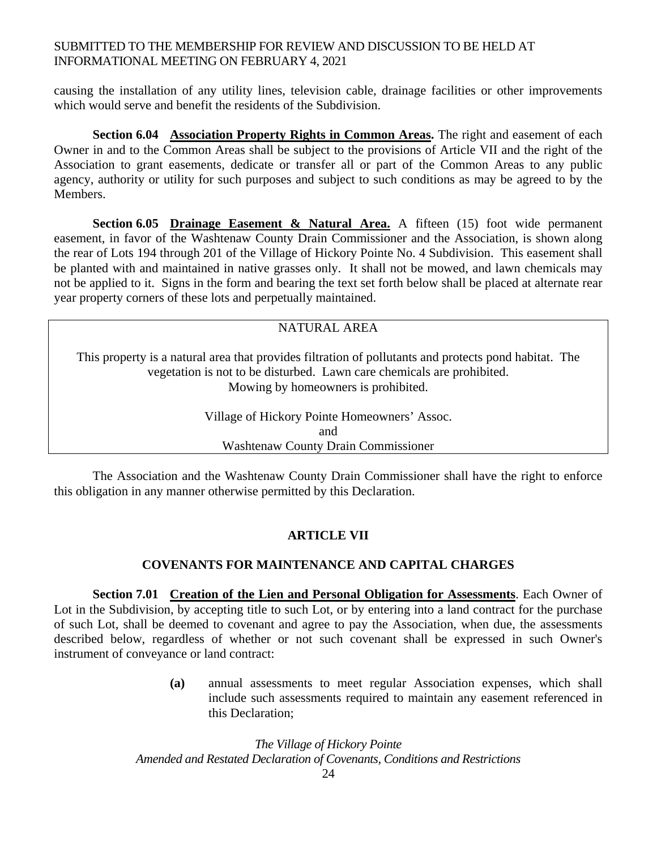causing the installation of any utility lines, television cable, drainage facilities or other improvements which would serve and benefit the residents of the Subdivision.

**Section 6.04 Association Property Rights in Common Areas.** The right and easement of each Owner in and to the Common Areas shall be subject to the provisions of Article VII and the right of the Association to grant easements, dedicate or transfer all or part of the Common Areas to any public agency, authority or utility for such purposes and subject to such conditions as may be agreed to by the Members.

**Section 6.05 Drainage Easement & Natural Area.** A fifteen (15) foot wide permanent easement, in favor of the Washtenaw County Drain Commissioner and the Association, is shown along the rear of Lots 194 through 201 of the Village of Hickory Pointe No. 4 Subdivision. This easement shall be planted with and maintained in native grasses only. It shall not be mowed, and lawn chemicals may not be applied to it. Signs in the form and bearing the text set forth below shall be placed at alternate rear year property corners of these lots and perpetually maintained.

# NATURAL AREA

This property is a natural area that provides filtration of pollutants and protects pond habitat. The vegetation is not to be disturbed. Lawn care chemicals are prohibited. Mowing by homeowners is prohibited.

> Village of Hickory Pointe Homeowners' Assoc. and Washtenaw County Drain Commissioner

The Association and the Washtenaw County Drain Commissioner shall have the right to enforce this obligation in any manner otherwise permitted by this Declaration.

# **ARTICLE VII**

# **COVENANTS FOR MAINTENANCE AND CAPITAL CHARGES**

**Section 7.01 Creation of the Lien and Personal Obligation for Assessments**. Each Owner of Lot in the Subdivision, by accepting title to such Lot, or by entering into a land contract for the purchase of such Lot, shall be deemed to covenant and agree to pay the Association, when due, the assessments described below, regardless of whether or not such covenant shall be expressed in such Owner's instrument of conveyance or land contract:

> **(a)** annual assessments to meet regular Association expenses, which shall include such assessments required to maintain any easement referenced in this Declaration;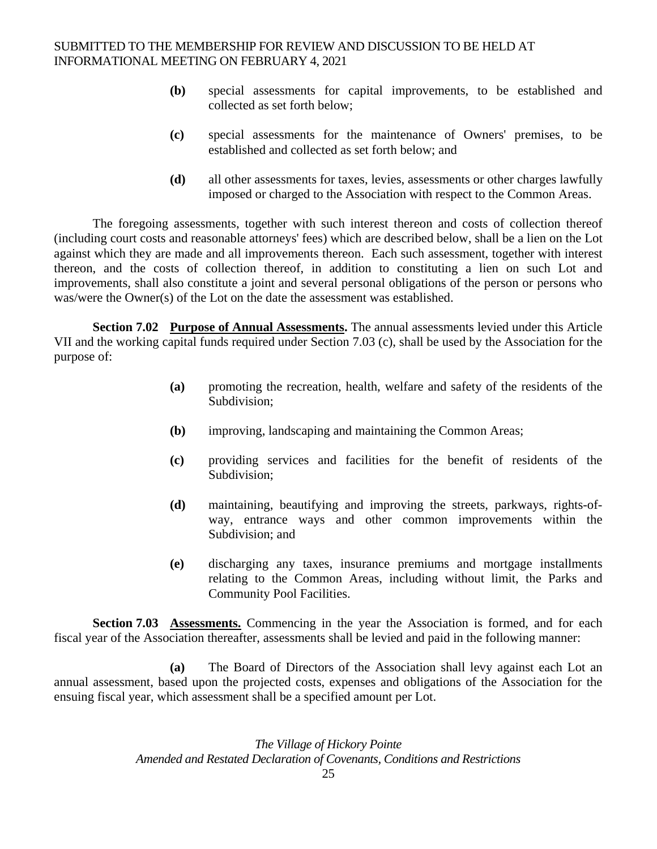- **(b)** special assessments for capital improvements, to be established and collected as set forth below;
- **(c)** special assessments for the maintenance of Owners' premises, to be established and collected as set forth below; and
- **(d)** all other assessments for taxes, levies, assessments or other charges lawfully imposed or charged to the Association with respect to the Common Areas.

The foregoing assessments, together with such interest thereon and costs of collection thereof (including court costs and reasonable attorneys' fees) which are described below, shall be a lien on the Lot against which they are made and all improvements thereon. Each such assessment, together with interest thereon, and the costs of collection thereof, in addition to constituting a lien on such Lot and improvements, shall also constitute a joint and several personal obligations of the person or persons who was/were the Owner(s) of the Lot on the date the assessment was established.

**Section 7.02 Purpose of Annual Assessments.** The annual assessments levied under this Article VII and the working capital funds required under Section 7.03 (c), shall be used by the Association for the purpose of:

- **(a)** promoting the recreation, health, welfare and safety of the residents of the Subdivision;
- **(b)** improving, landscaping and maintaining the Common Areas;
- **(c)** providing services and facilities for the benefit of residents of the Subdivision;
- **(d)** maintaining, beautifying and improving the streets, parkways, rights-ofway, entrance ways and other common improvements within the Subdivision; and
- **(e)** discharging any taxes, insurance premiums and mortgage installments relating to the Common Areas, including without limit, the Parks and Community Pool Facilities.

**Section 7.03 Assessments.** Commencing in the year the Association is formed, and for each fiscal year of the Association thereafter, assessments shall be levied and paid in the following manner:

 **(a)** The Board of Directors of the Association shall levy against each Lot an annual assessment, based upon the projected costs, expenses and obligations of the Association for the ensuing fiscal year, which assessment shall be a specified amount per Lot.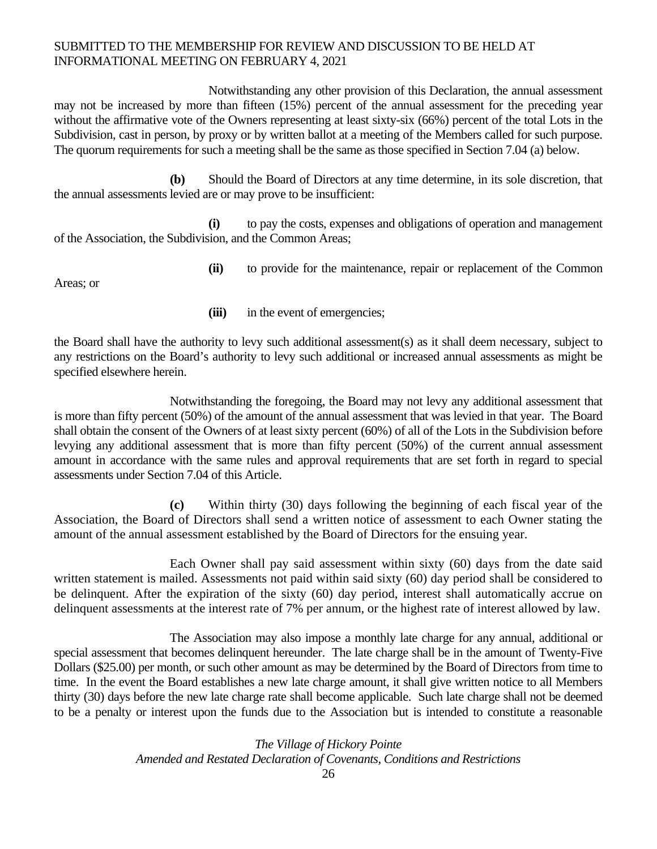Notwithstanding any other provision of this Declaration, the annual assessment may not be increased by more than fifteen (15%) percent of the annual assessment for the preceding year without the affirmative vote of the Owners representing at least sixty-six (66%) percent of the total Lots in the Subdivision, cast in person, by proxy or by written ballot at a meeting of the Members called for such purpose. The quorum requirements for such a meeting shall be the same as those specified in Section 7.04 (a) below.

**(b)** Should the Board of Directors at any time determine, in its sole discretion, that the annual assessments levied are or may prove to be insufficient:

 **(i)** to pay the costs, expenses and obligations of operation and management of the Association, the Subdivision, and the Common Areas;

Areas; or

**(ii)** to provide for the maintenance, repair or replacement of the Common

**(iii)** in the event of emergencies;

the Board shall have the authority to levy such additional assessment(s) as it shall deem necessary, subject to any restrictions on the Board's authority to levy such additional or increased annual assessments as might be specified elsewhere herein.

 Notwithstanding the foregoing, the Board may not levy any additional assessment that is more than fifty percent (50%) of the amount of the annual assessment that was levied in that year. The Board shall obtain the consent of the Owners of at least sixty percent (60%) of all of the Lots in the Subdivision before levying any additional assessment that is more than fifty percent (50%) of the current annual assessment amount in accordance with the same rules and approval requirements that are set forth in regard to special assessments under Section 7.04 of this Article.

 **(c)** Within thirty (30) days following the beginning of each fiscal year of the Association, the Board of Directors shall send a written notice of assessment to each Owner stating the amount of the annual assessment established by the Board of Directors for the ensuing year.

Each Owner shall pay said assessment within sixty (60) days from the date said written statement is mailed. Assessments not paid within said sixty (60) day period shall be considered to be delinquent. After the expiration of the sixty (60) day period, interest shall automatically accrue on delinquent assessments at the interest rate of 7% per annum, or the highest rate of interest allowed by law.

The Association may also impose a monthly late charge for any annual, additional or special assessment that becomes delinquent hereunder. The late charge shall be in the amount of Twenty-Five Dollars (\$25.00) per month, or such other amount as may be determined by the Board of Directors from time to time. In the event the Board establishes a new late charge amount, it shall give written notice to all Members thirty (30) days before the new late charge rate shall become applicable. Such late charge shall not be deemed to be a penalty or interest upon the funds due to the Association but is intended to constitute a reasonable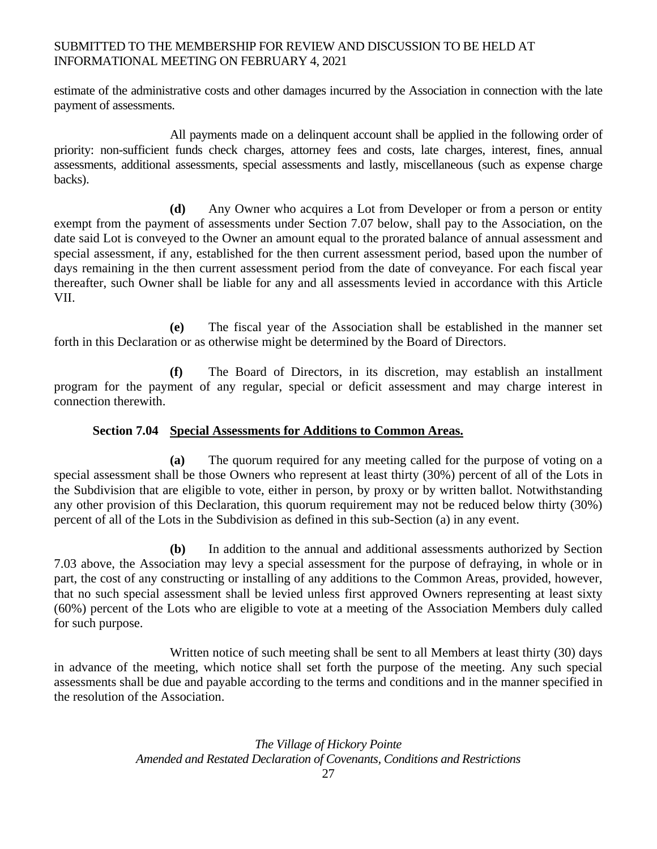estimate of the administrative costs and other damages incurred by the Association in connection with the late payment of assessments.

All payments made on a delinquent account shall be applied in the following order of priority: non-sufficient funds check charges, attorney fees and costs, late charges, interest, fines, annual assessments, additional assessments, special assessments and lastly, miscellaneous (such as expense charge backs).

 **(d)** Any Owner who acquires a Lot from Developer or from a person or entity exempt from the payment of assessments under Section 7.07 below, shall pay to the Association, on the date said Lot is conveyed to the Owner an amount equal to the prorated balance of annual assessment and special assessment, if any, established for the then current assessment period, based upon the number of days remaining in the then current assessment period from the date of conveyance. For each fiscal year thereafter, such Owner shall be liable for any and all assessments levied in accordance with this Article VII.

 **(e)** The fiscal year of the Association shall be established in the manner set forth in this Declaration or as otherwise might be determined by the Board of Directors.

 **(f)** The Board of Directors, in its discretion, may establish an installment program for the payment of any regular, special or deficit assessment and may charge interest in connection therewith.

# **Section 7.04 Special Assessments for Additions to Common Areas.**

 **(a)** The quorum required for any meeting called for the purpose of voting on a special assessment shall be those Owners who represent at least thirty (30%) percent of all of the Lots in the Subdivision that are eligible to vote, either in person, by proxy or by written ballot. Notwithstanding any other provision of this Declaration, this quorum requirement may not be reduced below thirty (30%) percent of all of the Lots in the Subdivision as defined in this sub-Section (a) in any event.

 **(b)** In addition to the annual and additional assessments authorized by Section 7.03 above, the Association may levy a special assessment for the purpose of defraying, in whole or in part, the cost of any constructing or installing of any additions to the Common Areas, provided, however, that no such special assessment shall be levied unless first approved Owners representing at least sixty (60%) percent of the Lots who are eligible to vote at a meeting of the Association Members duly called for such purpose.

Written notice of such meeting shall be sent to all Members at least thirty (30) days in advance of the meeting, which notice shall set forth the purpose of the meeting. Any such special assessments shall be due and payable according to the terms and conditions and in the manner specified in the resolution of the Association.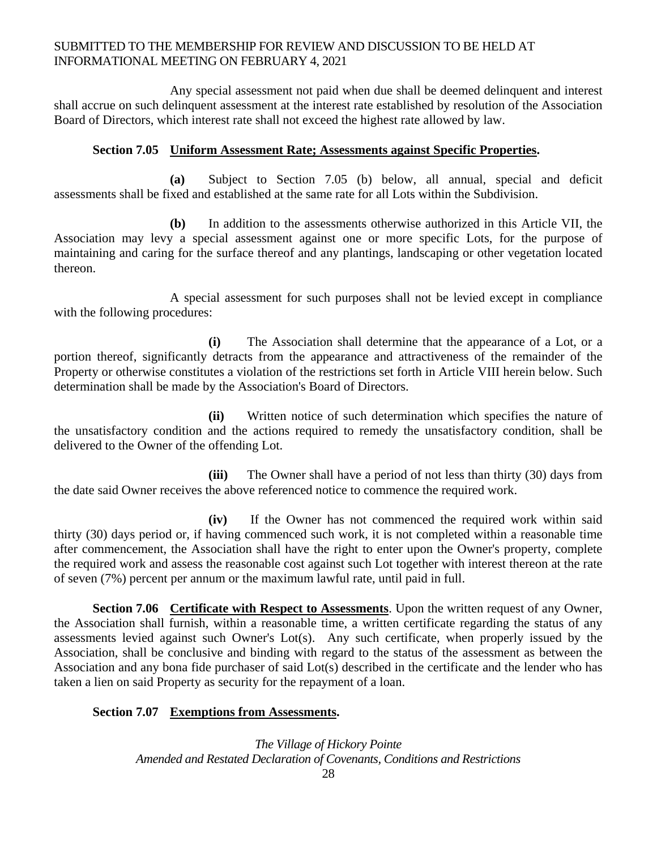Any special assessment not paid when due shall be deemed delinquent and interest shall accrue on such delinquent assessment at the interest rate established by resolution of the Association Board of Directors, which interest rate shall not exceed the highest rate allowed by law.

### **Section 7.05 Uniform Assessment Rate; Assessments against Specific Properties.**

 **(a)** Subject to Section 7.05 (b) below, all annual, special and deficit assessments shall be fixed and established at the same rate for all Lots within the Subdivision.

 **(b)** In addition to the assessments otherwise authorized in this Article VII, the Association may levy a special assessment against one or more specific Lots, for the purpose of maintaining and caring for the surface thereof and any plantings, landscaping or other vegetation located thereon.

A special assessment for such purposes shall not be levied except in compliance with the following procedures:

 **(i)** The Association shall determine that the appearance of a Lot, or a portion thereof, significantly detracts from the appearance and attractiveness of the remainder of the Property or otherwise constitutes a violation of the restrictions set forth in Article VIII herein below. Such determination shall be made by the Association's Board of Directors.

 **(ii)** Written notice of such determination which specifies the nature of the unsatisfactory condition and the actions required to remedy the unsatisfactory condition, shall be delivered to the Owner of the offending Lot.

 **(iii)** The Owner shall have a period of not less than thirty (30) days from the date said Owner receives the above referenced notice to commence the required work.

 **(iv)** If the Owner has not commenced the required work within said thirty (30) days period or, if having commenced such work, it is not completed within a reasonable time after commencement, the Association shall have the right to enter upon the Owner's property, complete the required work and assess the reasonable cost against such Lot together with interest thereon at the rate of seven (7%) percent per annum or the maximum lawful rate, until paid in full.

**Section 7.06** Certificate with Respect to Assessments. Upon the written request of any Owner, the Association shall furnish, within a reasonable time, a written certificate regarding the status of any assessments levied against such Owner's Lot(s). Any such certificate, when properly issued by the Association, shall be conclusive and binding with regard to the status of the assessment as between the Association and any bona fide purchaser of said Lot(s) described in the certificate and the lender who has taken a lien on said Property as security for the repayment of a loan.

#### **Section 7.07 Exemptions from Assessments.**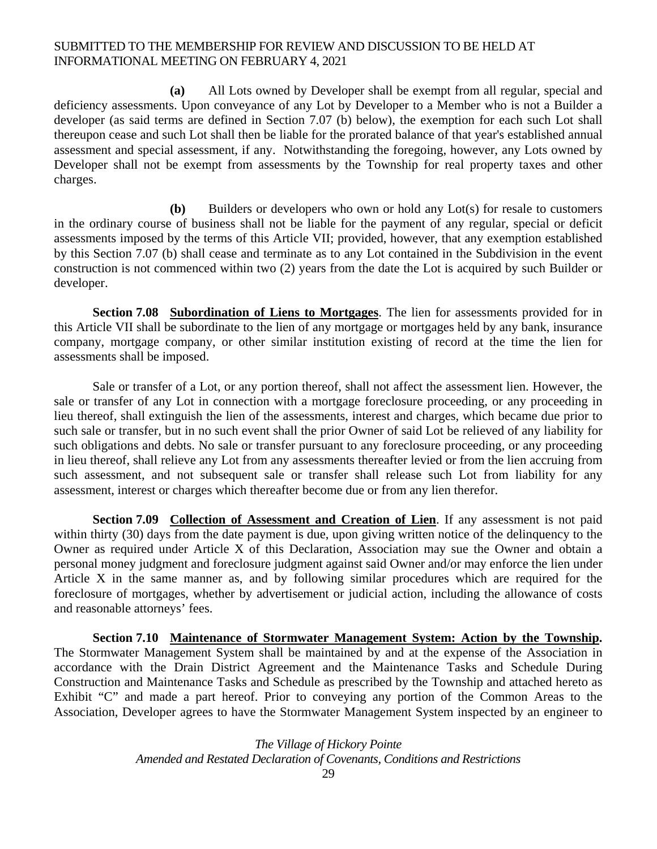**(a)** All Lots owned by Developer shall be exempt from all regular, special and deficiency assessments. Upon conveyance of any Lot by Developer to a Member who is not a Builder a developer (as said terms are defined in Section 7.07 (b) below), the exemption for each such Lot shall thereupon cease and such Lot shall then be liable for the prorated balance of that year's established annual assessment and special assessment, if any. Notwithstanding the foregoing, however, any Lots owned by Developer shall not be exempt from assessments by the Township for real property taxes and other charges.

 **(b)** Builders or developers who own or hold any Lot(s) for resale to customers in the ordinary course of business shall not be liable for the payment of any regular, special or deficit assessments imposed by the terms of this Article VII; provided, however, that any exemption established by this Section 7.07 (b) shall cease and terminate as to any Lot contained in the Subdivision in the event construction is not commenced within two (2) years from the date the Lot is acquired by such Builder or developer.

**Section 7.08 Subordination of Liens to Mortgages**. The lien for assessments provided for in this Article VII shall be subordinate to the lien of any mortgage or mortgages held by any bank, insurance company, mortgage company, or other similar institution existing of record at the time the lien for assessments shall be imposed.

Sale or transfer of a Lot, or any portion thereof, shall not affect the assessment lien. However, the sale or transfer of any Lot in connection with a mortgage foreclosure proceeding, or any proceeding in lieu thereof, shall extinguish the lien of the assessments, interest and charges, which became due prior to such sale or transfer, but in no such event shall the prior Owner of said Lot be relieved of any liability for such obligations and debts. No sale or transfer pursuant to any foreclosure proceeding, or any proceeding in lieu thereof, shall relieve any Lot from any assessments thereafter levied or from the lien accruing from such assessment, and not subsequent sale or transfer shall release such Lot from liability for any assessment, interest or charges which thereafter become due or from any lien therefor.

**Section 7.09 Collection of Assessment and Creation of Lien**. If any assessment is not paid within thirty (30) days from the date payment is due, upon giving written notice of the delinquency to the Owner as required under Article X of this Declaration, Association may sue the Owner and obtain a personal money judgment and foreclosure judgment against said Owner and/or may enforce the lien under Article X in the same manner as, and by following similar procedures which are required for the foreclosure of mortgages, whether by advertisement or judicial action, including the allowance of costs and reasonable attorneys' fees.

**Section 7.10 Maintenance of Stormwater Management System: Action by the Township.** The Stormwater Management System shall be maintained by and at the expense of the Association in accordance with the Drain District Agreement and the Maintenance Tasks and Schedule During Construction and Maintenance Tasks and Schedule as prescribed by the Township and attached hereto as Exhibit "C" and made a part hereof. Prior to conveying any portion of the Common Areas to the Association, Developer agrees to have the Stormwater Management System inspected by an engineer to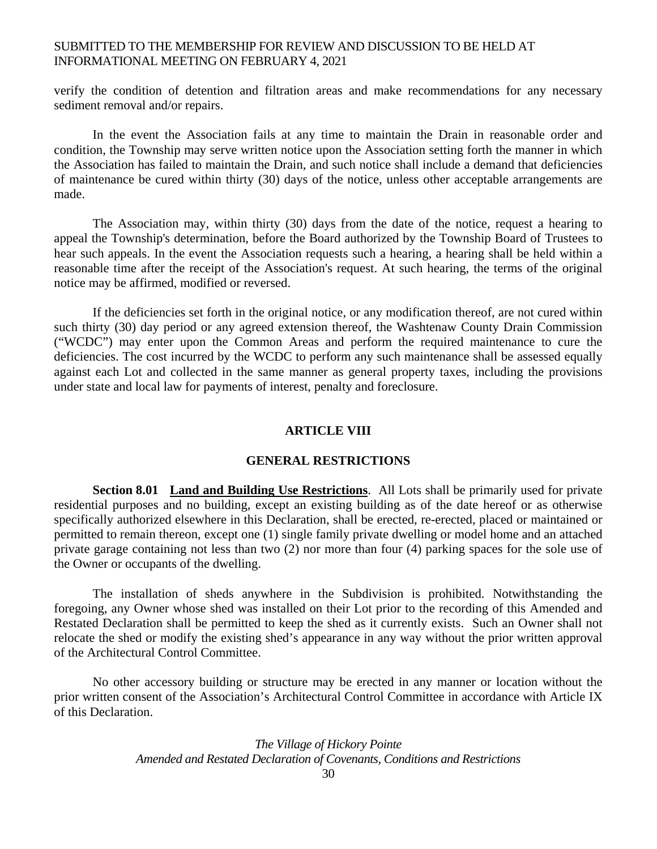verify the condition of detention and filtration areas and make recommendations for any necessary sediment removal and/or repairs.

In the event the Association fails at any time to maintain the Drain in reasonable order and condition, the Township may serve written notice upon the Association setting forth the manner in which the Association has failed to maintain the Drain, and such notice shall include a demand that deficiencies of maintenance be cured within thirty (30) days of the notice, unless other acceptable arrangements are made.

The Association may, within thirty (30) days from the date of the notice, request a hearing to appeal the Township's determination, before the Board authorized by the Township Board of Trustees to hear such appeals. In the event the Association requests such a hearing, a hearing shall be held within a reasonable time after the receipt of the Association's request. At such hearing, the terms of the original notice may be affirmed, modified or reversed.

 If the deficiencies set forth in the original notice, or any modification thereof, are not cured within such thirty (30) day period or any agreed extension thereof, the Washtenaw County Drain Commission ("WCDC") may enter upon the Common Areas and perform the required maintenance to cure the deficiencies. The cost incurred by the WCDC to perform any such maintenance shall be assessed equally against each Lot and collected in the same manner as general property taxes, including the provisions under state and local law for payments of interest, penalty and foreclosure.

### **ARTICLE VIII**

# **GENERAL RESTRICTIONS**

**Section 8.01 Land and Building Use Restrictions**. All Lots shall be primarily used for private residential purposes and no building, except an existing building as of the date hereof or as otherwise specifically authorized elsewhere in this Declaration, shall be erected, re-erected, placed or maintained or permitted to remain thereon, except one (1) single family private dwelling or model home and an attached private garage containing not less than two (2) nor more than four (4) parking spaces for the sole use of the Owner or occupants of the dwelling.

 The installation of sheds anywhere in the Subdivision is prohibited. Notwithstanding the foregoing, any Owner whose shed was installed on their Lot prior to the recording of this Amended and Restated Declaration shall be permitted to keep the shed as it currently exists. Such an Owner shall not relocate the shed or modify the existing shed's appearance in any way without the prior written approval of the Architectural Control Committee.

No other accessory building or structure may be erected in any manner or location without the prior written consent of the Association's Architectural Control Committee in accordance with Article IX of this Declaration.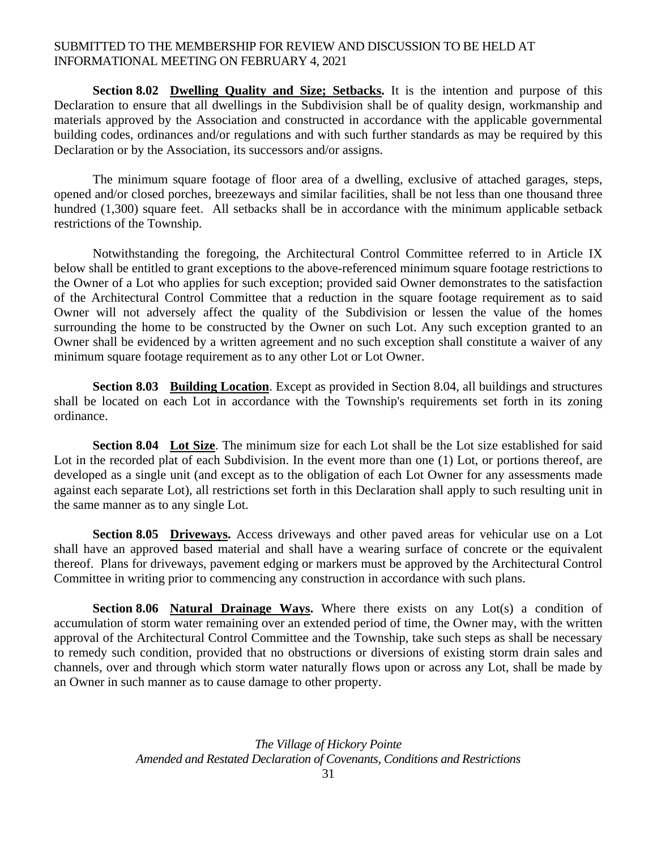**Section 8.02** Dwelling Quality and Size; Setbacks. It is the intention and purpose of this Declaration to ensure that all dwellings in the Subdivision shall be of quality design, workmanship and materials approved by the Association and constructed in accordance with the applicable governmental building codes, ordinances and/or regulations and with such further standards as may be required by this Declaration or by the Association, its successors and/or assigns.

The minimum square footage of floor area of a dwelling, exclusive of attached garages, steps, opened and/or closed porches, breezeways and similar facilities, shall be not less than one thousand three hundred (1,300) square feet. All setbacks shall be in accordance with the minimum applicable setback restrictions of the Township.

 Notwithstanding the foregoing, the Architectural Control Committee referred to in Article IX below shall be entitled to grant exceptions to the above-referenced minimum square footage restrictions to the Owner of a Lot who applies for such exception; provided said Owner demonstrates to the satisfaction of the Architectural Control Committee that a reduction in the square footage requirement as to said Owner will not adversely affect the quality of the Subdivision or lessen the value of the homes surrounding the home to be constructed by the Owner on such Lot. Any such exception granted to an Owner shall be evidenced by a written agreement and no such exception shall constitute a waiver of any minimum square footage requirement as to any other Lot or Lot Owner.

**Section 8.03 Building Location**. Except as provided in Section 8.04, all buildings and structures shall be located on each Lot in accordance with the Township's requirements set forth in its zoning ordinance.

**Section 8.04 Lot Size**. The minimum size for each Lot shall be the Lot size established for said Lot in the recorded plat of each Subdivision. In the event more than one (1) Lot, or portions thereof, are developed as a single unit (and except as to the obligation of each Lot Owner for any assessments made against each separate Lot), all restrictions set forth in this Declaration shall apply to such resulting unit in the same manner as to any single Lot.

**Section 8.05 Driveways.** Access driveways and other paved areas for vehicular use on a Lot shall have an approved based material and shall have a wearing surface of concrete or the equivalent thereof. Plans for driveways, pavement edging or markers must be approved by the Architectural Control Committee in writing prior to commencing any construction in accordance with such plans.

**Section 8.06 Natural Drainage Ways.** Where there exists on any Lot(s) a condition of accumulation of storm water remaining over an extended period of time, the Owner may, with the written approval of the Architectural Control Committee and the Township, take such steps as shall be necessary to remedy such condition, provided that no obstructions or diversions of existing storm drain sales and channels, over and through which storm water naturally flows upon or across any Lot, shall be made by an Owner in such manner as to cause damage to other property.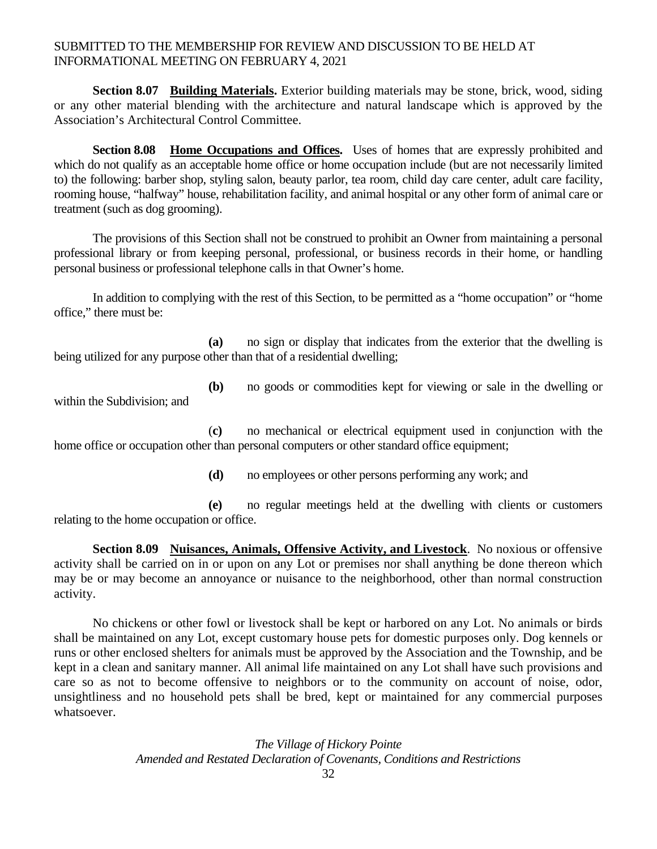**Section 8.07 Building Materials.** Exterior building materials may be stone, brick, wood, siding or any other material blending with the architecture and natural landscape which is approved by the Association's Architectural Control Committee.

**Section 8.08 Home Occupations and Offices.** Uses of homes that are expressly prohibited and which do not qualify as an acceptable home office or home occupation include (but are not necessarily limited to) the following: barber shop, styling salon, beauty parlor, tea room, child day care center, adult care facility, rooming house, "halfway" house, rehabilitation facility, and animal hospital or any other form of animal care or treatment (such as dog grooming).

 The provisions of this Section shall not be construed to prohibit an Owner from maintaining a personal professional library or from keeping personal, professional, or business records in their home, or handling personal business or professional telephone calls in that Owner's home.

 In addition to complying with the rest of this Section, to be permitted as a "home occupation" or "home office," there must be:

 **(a)** no sign or display that indicates from the exterior that the dwelling is being utilized for any purpose other than that of a residential dwelling;

**(b)** no goods or commodities kept for viewing or sale in the dwelling or

within the Subdivision; and

 (**c)** no mechanical or electrical equipment used in conjunction with the home office or occupation other than personal computers or other standard office equipment;

**(d)** no employees or other persons performing any work; and

 **(e)** no regular meetings held at the dwelling with clients or customers relating to the home occupation or office.

**Section 8.09 Nuisances, Animals, Offensive Activity, and Livestock**. No noxious or offensive activity shall be carried on in or upon on any Lot or premises nor shall anything be done thereon which may be or may become an annoyance or nuisance to the neighborhood, other than normal construction activity.

 No chickens or other fowl or livestock shall be kept or harbored on any Lot. No animals or birds shall be maintained on any Lot, except customary house pets for domestic purposes only. Dog kennels or runs or other enclosed shelters for animals must be approved by the Association and the Township, and be kept in a clean and sanitary manner. All animal life maintained on any Lot shall have such provisions and care so as not to become offensive to neighbors or to the community on account of noise, odor, unsightliness and no household pets shall be bred, kept or maintained for any commercial purposes whatsoever.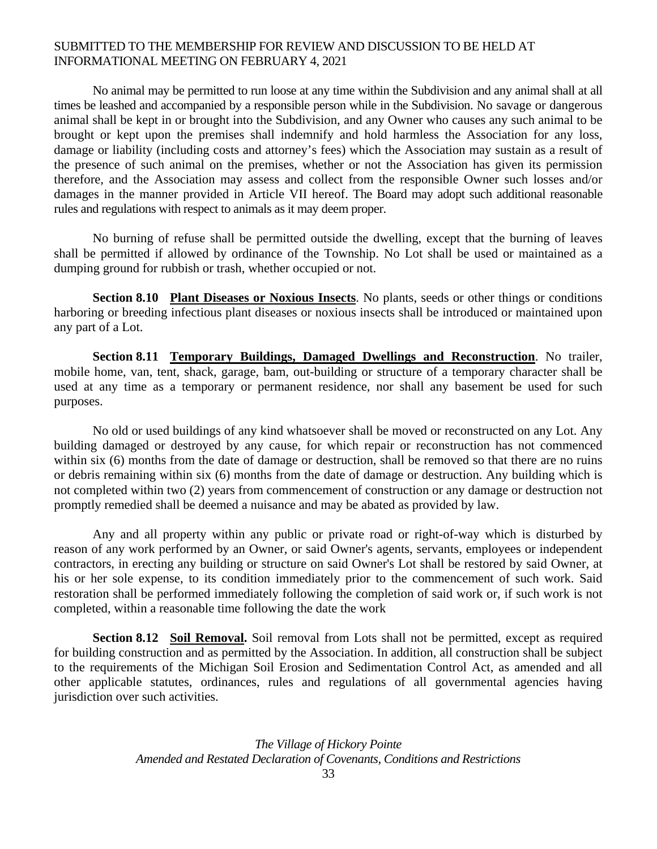No animal may be permitted to run loose at any time within the Subdivision and any animal shall at all times be leashed and accompanied by a responsible person while in the Subdivision. No savage or dangerous animal shall be kept in or brought into the Subdivision, and any Owner who causes any such animal to be brought or kept upon the premises shall indemnify and hold harmless the Association for any loss, damage or liability (including costs and attorney's fees) which the Association may sustain as a result of the presence of such animal on the premises, whether or not the Association has given its permission therefore, and the Association may assess and collect from the responsible Owner such losses and/or damages in the manner provided in Article VII hereof. The Board may adopt such additional reasonable rules and regulations with respect to animals as it may deem proper.

 No burning of refuse shall be permitted outside the dwelling, except that the burning of leaves shall be permitted if allowed by ordinance of the Township. No Lot shall be used or maintained as a dumping ground for rubbish or trash, whether occupied or not.

**Section 8.10 Plant Diseases or Noxious Insects**. No plants, seeds or other things or conditions harboring or breeding infectious plant diseases or noxious insects shall be introduced or maintained upon any part of a Lot.

**Section 8.11 Temporary Buildings, Damaged Dwellings and Reconstruction**. No trailer, mobile home, van, tent, shack, garage, bam, out-building or structure of a temporary character shall be used at any time as a temporary or permanent residence, nor shall any basement be used for such purposes.

No old or used buildings of any kind whatsoever shall be moved or reconstructed on any Lot. Any building damaged or destroyed by any cause, for which repair or reconstruction has not commenced within six (6) months from the date of damage or destruction, shall be removed so that there are no ruins or debris remaining within six (6) months from the date of damage or destruction. Any building which is not completed within two (2) years from commencement of construction or any damage or destruction not promptly remedied shall be deemed a nuisance and may be abated as provided by law.

Any and all property within any public or private road or right-of-way which is disturbed by reason of any work performed by an Owner, or said Owner's agents, servants, employees or independent contractors, in erecting any building or structure on said Owner's Lot shall be restored by said Owner, at his or her sole expense, to its condition immediately prior to the commencement of such work. Said restoration shall be performed immediately following the completion of said work or, if such work is not completed, within a reasonable time following the date the work

**Section 8.12 Soil Removal.** Soil removal from Lots shall not be permitted, except as required for building construction and as permitted by the Association. In addition, all construction shall be subject to the requirements of the Michigan Soil Erosion and Sedimentation Control Act, as amended and all other applicable statutes, ordinances, rules and regulations of all governmental agencies having jurisdiction over such activities.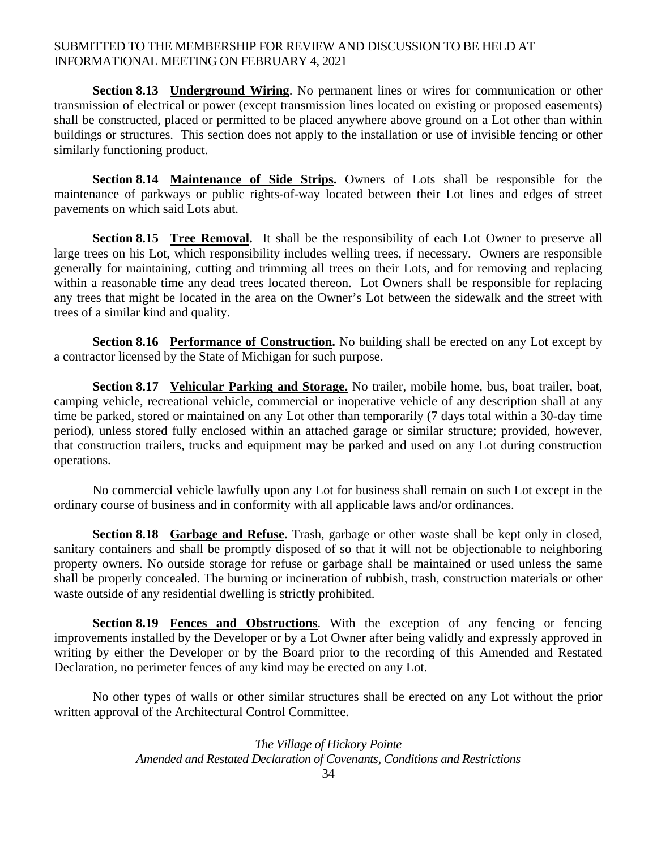**Section 8.13 Underground Wiring**. No permanent lines or wires for communication or other transmission of electrical or power (except transmission lines located on existing or proposed easements) shall be constructed, placed or permitted to be placed anywhere above ground on a Lot other than within buildings or structures. This section does not apply to the installation or use of invisible fencing or other similarly functioning product.

**Section 8.14 Maintenance of Side Strips.** Owners of Lots shall be responsible for the maintenance of parkways or public rights-of-way located between their Lot lines and edges of street pavements on which said Lots abut.

**Section 8.15 Tree Removal.** It shall be the responsibility of each Lot Owner to preserve all large trees on his Lot, which responsibility includes welling trees, if necessary. Owners are responsible generally for maintaining, cutting and trimming all trees on their Lots, and for removing and replacing within a reasonable time any dead trees located thereon. Lot Owners shall be responsible for replacing any trees that might be located in the area on the Owner's Lot between the sidewalk and the street with trees of a similar kind and quality.

**Section 8.16 Performance of Construction.** No building shall be erected on any Lot except by a contractor licensed by the State of Michigan for such purpose.

**Section 8.17 Vehicular Parking and Storage.** No trailer, mobile home, bus, boat trailer, boat, camping vehicle, recreational vehicle, commercial or inoperative vehicle of any description shall at any time be parked, stored or maintained on any Lot other than temporarily (7 days total within a 30-day time period), unless stored fully enclosed within an attached garage or similar structure; provided, however, that construction trailers, trucks and equipment may be parked and used on any Lot during construction operations.

No commercial vehicle lawfully upon any Lot for business shall remain on such Lot except in the ordinary course of business and in conformity with all applicable laws and/or ordinances.

**Section 8.18 Garbage and Refuse.** Trash, garbage or other waste shall be kept only in closed, sanitary containers and shall be promptly disposed of so that it will not be objectionable to neighboring property owners. No outside storage for refuse or garbage shall be maintained or used unless the same shall be properly concealed. The burning or incineration of rubbish, trash, construction materials or other waste outside of any residential dwelling is strictly prohibited.

**Section 8.19 Fences and Obstructions.** With the exception of any fencing or fencing improvements installed by the Developer or by a Lot Owner after being validly and expressly approved in writing by either the Developer or by the Board prior to the recording of this Amended and Restated Declaration, no perimeter fences of any kind may be erected on any Lot.

No other types of walls or other similar structures shall be erected on any Lot without the prior written approval of the Architectural Control Committee.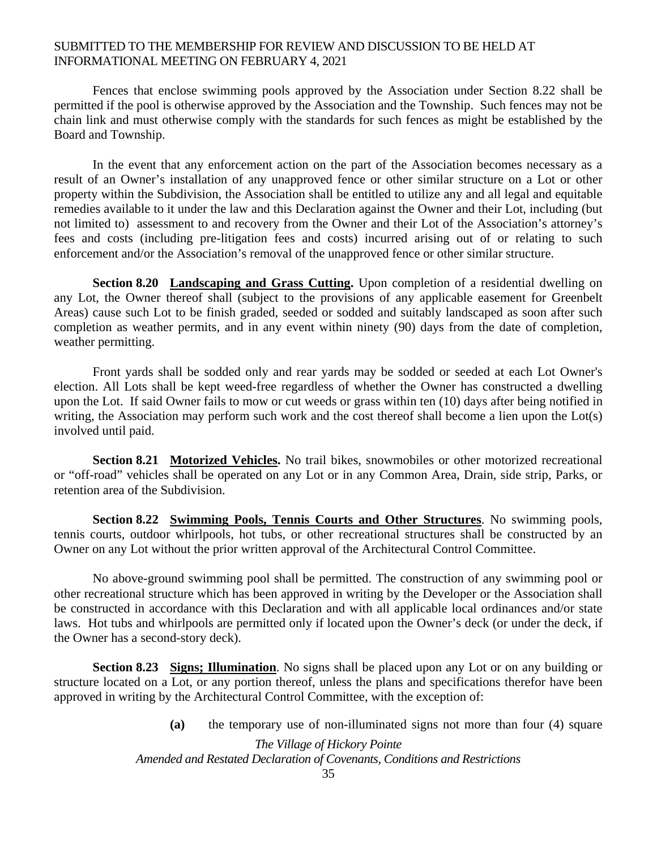Fences that enclose swimming pools approved by the Association under Section 8.22 shall be permitted if the pool is otherwise approved by the Association and the Township. Such fences may not be chain link and must otherwise comply with the standards for such fences as might be established by the Board and Township.

 In the event that any enforcement action on the part of the Association becomes necessary as a result of an Owner's installation of any unapproved fence or other similar structure on a Lot or other property within the Subdivision, the Association shall be entitled to utilize any and all legal and equitable remedies available to it under the law and this Declaration against the Owner and their Lot, including (but not limited to) assessment to and recovery from the Owner and their Lot of the Association's attorney's fees and costs (including pre-litigation fees and costs) incurred arising out of or relating to such enforcement and/or the Association's removal of the unapproved fence or other similar structure.

**Section 8.20 Landscaping and Grass Cutting.** Upon completion of a residential dwelling on any Lot, the Owner thereof shall (subject to the provisions of any applicable easement for Greenbelt Areas) cause such Lot to be finish graded, seeded or sodded and suitably landscaped as soon after such completion as weather permits, and in any event within ninety (90) days from the date of completion, weather permitting.

Front yards shall be sodded only and rear yards may be sodded or seeded at each Lot Owner's election. All Lots shall be kept weed-free regardless of whether the Owner has constructed a dwelling upon the Lot. If said Owner fails to mow or cut weeds or grass within ten (10) days after being notified in writing, the Association may perform such work and the cost thereof shall become a lien upon the Lot(s) involved until paid.

**Section 8.21 Motorized Vehicles.** No trail bikes, snowmobiles or other motorized recreational or "off-road" vehicles shall be operated on any Lot or in any Common Area, Drain, side strip, Parks, or retention area of the Subdivision.

**Section 8.22 Swimming Pools, Tennis Courts and Other Structures**. No swimming pools, tennis courts, outdoor whirlpools, hot tubs, or other recreational structures shall be constructed by an Owner on any Lot without the prior written approval of the Architectural Control Committee.

No above-ground swimming pool shall be permitted. The construction of any swimming pool or other recreational structure which has been approved in writing by the Developer or the Association shall be constructed in accordance with this Declaration and with all applicable local ordinances and/or state laws. Hot tubs and whirlpools are permitted only if located upon the Owner's deck (or under the deck, if the Owner has a second-story deck).

**Section 8.23 Signs; Illumination**. No signs shall be placed upon any Lot or on any building or structure located on a Lot, or any portion thereof, unless the plans and specifications therefor have been approved in writing by the Architectural Control Committee, with the exception of:

**(a)** the temporary use of non-illuminated signs not more than four (4) square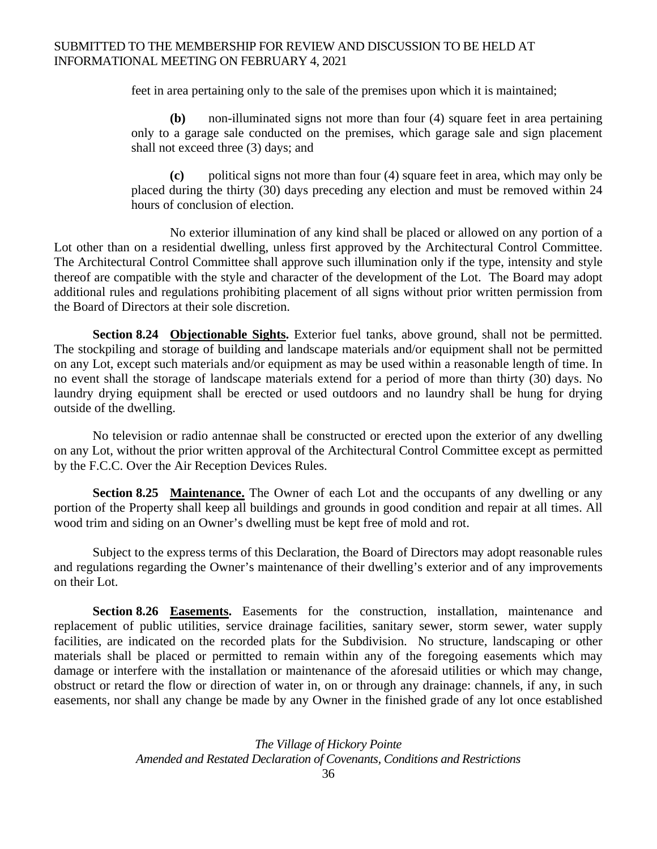feet in area pertaining only to the sale of the premises upon which it is maintained;

**(b)** non-illuminated signs not more than four (4) square feet in area pertaining only to a garage sale conducted on the premises, which garage sale and sign placement shall not exceed three (3) days; and

**(c)** political signs not more than four (4) square feet in area, which may only be placed during the thirty (30) days preceding any election and must be removed within 24 hours of conclusion of election.

No exterior illumination of any kind shall be placed or allowed on any portion of a Lot other than on a residential dwelling, unless first approved by the Architectural Control Committee. The Architectural Control Committee shall approve such illumination only if the type, intensity and style thereof are compatible with the style and character of the development of the Lot. The Board may adopt additional rules and regulations prohibiting placement of all signs without prior written permission from the Board of Directors at their sole discretion.

**Section 8.24 Objectionable Sights.** Exterior fuel tanks, above ground, shall not be permitted. The stockpiling and storage of building and landscape materials and/or equipment shall not be permitted on any Lot, except such materials and/or equipment as may be used within a reasonable length of time. In no event shall the storage of landscape materials extend for a period of more than thirty (30) days. No laundry drying equipment shall be erected or used outdoors and no laundry shall be hung for drying outside of the dwelling.

No television or radio antennae shall be constructed or erected upon the exterior of any dwelling on any Lot, without the prior written approval of the Architectural Control Committee except as permitted by the F.C.C. Over the Air Reception Devices Rules.

**Section 8.25 Maintenance.** The Owner of each Lot and the occupants of any dwelling or any portion of the Property shall keep all buildings and grounds in good condition and repair at all times. All wood trim and siding on an Owner's dwelling must be kept free of mold and rot.

Subject to the express terms of this Declaration, the Board of Directors may adopt reasonable rules and regulations regarding the Owner's maintenance of their dwelling's exterior and of any improvements on their Lot.

Section 8.26 Easements. Easements for the construction, installation, maintenance and replacement of public utilities, service drainage facilities, sanitary sewer, storm sewer, water supply facilities, are indicated on the recorded plats for the Subdivision. No structure, landscaping or other materials shall be placed or permitted to remain within any of the foregoing easements which may damage or interfere with the installation or maintenance of the aforesaid utilities or which may change, obstruct or retard the flow or direction of water in, on or through any drainage: channels, if any, in such easements, nor shall any change be made by any Owner in the finished grade of any lot once established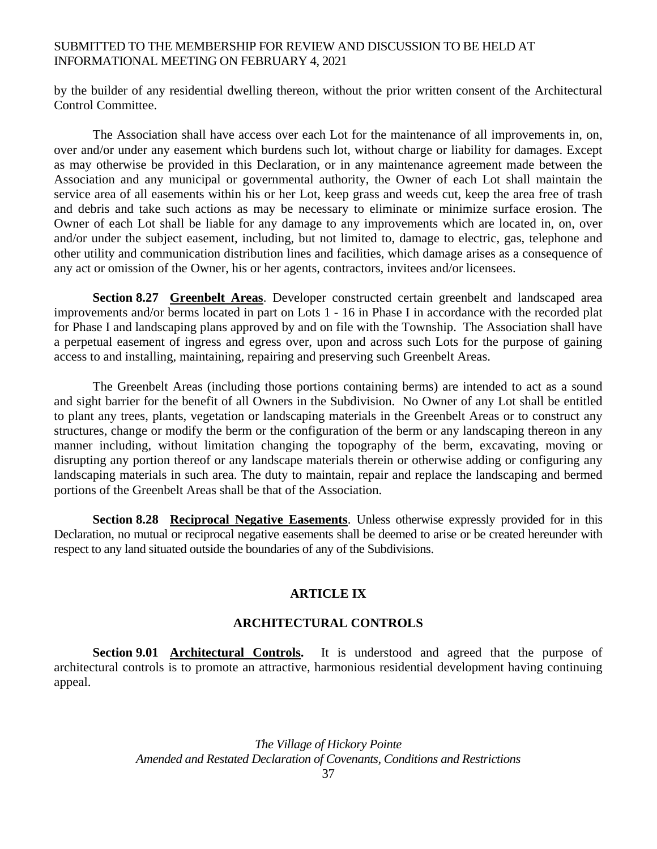by the builder of any residential dwelling thereon, without the prior written consent of the Architectural Control Committee.

 The Association shall have access over each Lot for the maintenance of all improvements in, on, over and/or under any easement which burdens such lot, without charge or liability for damages. Except as may otherwise be provided in this Declaration, or in any maintenance agreement made between the Association and any municipal or governmental authority, the Owner of each Lot shall maintain the service area of all easements within his or her Lot, keep grass and weeds cut, keep the area free of trash and debris and take such actions as may be necessary to eliminate or minimize surface erosion. The Owner of each Lot shall be liable for any damage to any improvements which are located in, on, over and/or under the subject easement, including, but not limited to, damage to electric, gas, telephone and other utility and communication distribution lines and facilities, which damage arises as a consequence of any act or omission of the Owner, his or her agents, contractors, invitees and/or licensees.

**Section 8.27 Greenbelt Areas**. Developer constructed certain greenbelt and landscaped area improvements and/or berms located in part on Lots 1 - 16 in Phase I in accordance with the recorded plat for Phase I and landscaping plans approved by and on file with the Township. The Association shall have a perpetual easement of ingress and egress over, upon and across such Lots for the purpose of gaining access to and installing, maintaining, repairing and preserving such Greenbelt Areas.

The Greenbelt Areas (including those portions containing berms) are intended to act as a sound and sight barrier for the benefit of all Owners in the Subdivision. No Owner of any Lot shall be entitled to plant any trees, plants, vegetation or landscaping materials in the Greenbelt Areas or to construct any structures, change or modify the berm or the configuration of the berm or any landscaping thereon in any manner including, without limitation changing the topography of the berm, excavating, moving or disrupting any portion thereof or any landscape materials therein or otherwise adding or configuring any landscaping materials in such area. The duty to maintain, repair and replace the landscaping and bermed portions of the Greenbelt Areas shall be that of the Association.

**Section 8.28 Reciprocal Negative Easements**. Unless otherwise expressly provided for in this Declaration, no mutual or reciprocal negative easements shall be deemed to arise or be created hereunder with respect to any land situated outside the boundaries of any of the Subdivisions.

#### **ARTICLE IX**

#### **ARCHITECTURAL CONTROLS**

**Section 9.01 Architectural Controls.** It is understood and agreed that the purpose of architectural controls is to promote an attractive, harmonious residential development having continuing appeal.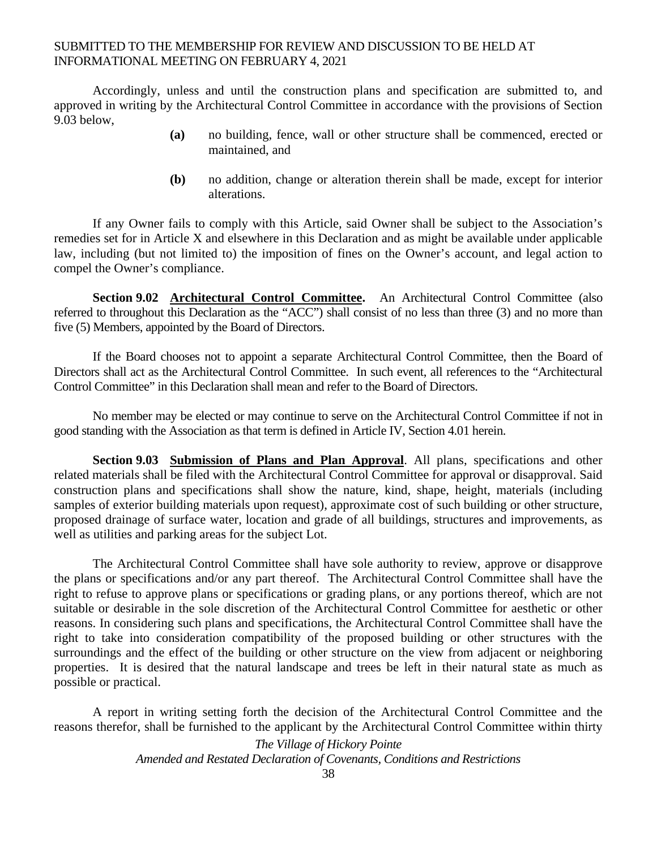Accordingly, unless and until the construction plans and specification are submitted to, and approved in writing by the Architectural Control Committee in accordance with the provisions of Section 9.03 below,

- **(a)** no building, fence, wall or other structure shall be commenced, erected or maintained, and
- **(b)** no addition, change or alteration therein shall be made, except for interior alterations.

If any Owner fails to comply with this Article, said Owner shall be subject to the Association's remedies set for in Article X and elsewhere in this Declaration and as might be available under applicable law, including (but not limited to) the imposition of fines on the Owner's account, and legal action to compel the Owner's compliance.

**Section 9.02 Architectural Control Committee.** An Architectural Control Committee (also referred to throughout this Declaration as the "ACC") shall consist of no less than three (3) and no more than five (5) Members, appointed by the Board of Directors.

If the Board chooses not to appoint a separate Architectural Control Committee, then the Board of Directors shall act as the Architectural Control Committee. In such event, all references to the "Architectural Control Committee" in this Declaration shall mean and refer to the Board of Directors.

No member may be elected or may continue to serve on the Architectural Control Committee if not in good standing with the Association as that term is defined in Article IV, Section 4.01 herein.

**Section 9.03 Submission of Plans and Plan Approval**. All plans, specifications and other related materials shall be filed with the Architectural Control Committee for approval or disapproval. Said construction plans and specifications shall show the nature, kind, shape, height, materials (including samples of exterior building materials upon request), approximate cost of such building or other structure, proposed drainage of surface water, location and grade of all buildings, structures and improvements, as well as utilities and parking areas for the subject Lot.

The Architectural Control Committee shall have sole authority to review, approve or disapprove the plans or specifications and/or any part thereof. The Architectural Control Committee shall have the right to refuse to approve plans or specifications or grading plans, or any portions thereof, which are not suitable or desirable in the sole discretion of the Architectural Control Committee for aesthetic or other reasons. In considering such plans and specifications, the Architectural Control Committee shall have the right to take into consideration compatibility of the proposed building or other structures with the surroundings and the effect of the building or other structure on the view from adjacent or neighboring properties. It is desired that the natural landscape and trees be left in their natural state as much as possible or practical.

 A report in writing setting forth the decision of the Architectural Control Committee and the reasons therefor, shall be furnished to the applicant by the Architectural Control Committee within thirty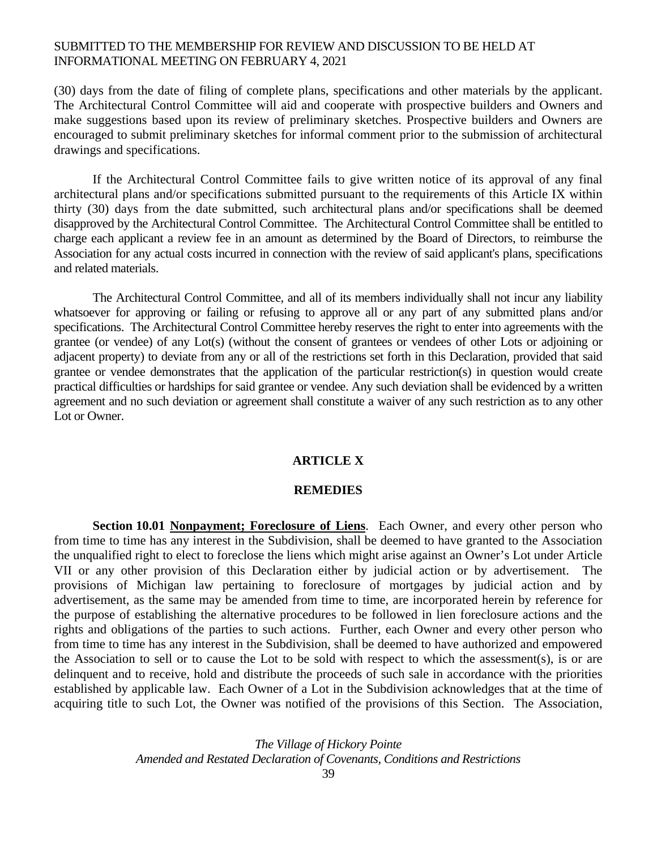(30) days from the date of filing of complete plans, specifications and other materials by the applicant. The Architectural Control Committee will aid and cooperate with prospective builders and Owners and make suggestions based upon its review of preliminary sketches. Prospective builders and Owners are encouraged to submit preliminary sketches for informal comment prior to the submission of architectural drawings and specifications.

If the Architectural Control Committee fails to give written notice of its approval of any final architectural plans and/or specifications submitted pursuant to the requirements of this Article IX within thirty (30) days from the date submitted, such architectural plans and/or specifications shall be deemed disapproved by the Architectural Control Committee. The Architectural Control Committee shall be entitled to charge each applicant a review fee in an amount as determined by the Board of Directors, to reimburse the Association for any actual costs incurred in connection with the review of said applicant's plans, specifications and related materials.

 The Architectural Control Committee, and all of its members individually shall not incur any liability whatsoever for approving or failing or refusing to approve all or any part of any submitted plans and/or specifications. The Architectural Control Committee hereby reserves the right to enter into agreements with the grantee (or vendee) of any Lot(s) (without the consent of grantees or vendees of other Lots or adjoining or adjacent property) to deviate from any or all of the restrictions set forth in this Declaration, provided that said grantee or vendee demonstrates that the application of the particular restriction(s) in question would create practical difficulties or hardships for said grantee or vendee. Any such deviation shall be evidenced by a written agreement and no such deviation or agreement shall constitute a waiver of any such restriction as to any other Lot or Owner.

# **ARTICLE X**

#### **REMEDIES**

**Section 10.01 Nonpayment; Foreclosure of Liens**. Each Owner, and every other person who from time to time has any interest in the Subdivision, shall be deemed to have granted to the Association the unqualified right to elect to foreclose the liens which might arise against an Owner's Lot under Article VII or any other provision of this Declaration either by judicial action or by advertisement. The provisions of Michigan law pertaining to foreclosure of mortgages by judicial action and by advertisement, as the same may be amended from time to time, are incorporated herein by reference for the purpose of establishing the alternative procedures to be followed in lien foreclosure actions and the rights and obligations of the parties to such actions. Further, each Owner and every other person who from time to time has any interest in the Subdivision, shall be deemed to have authorized and empowered the Association to sell or to cause the Lot to be sold with respect to which the assessment(s), is or are delinquent and to receive, hold and distribute the proceeds of such sale in accordance with the priorities established by applicable law. Each Owner of a Lot in the Subdivision acknowledges that at the time of acquiring title to such Lot, the Owner was notified of the provisions of this Section. The Association,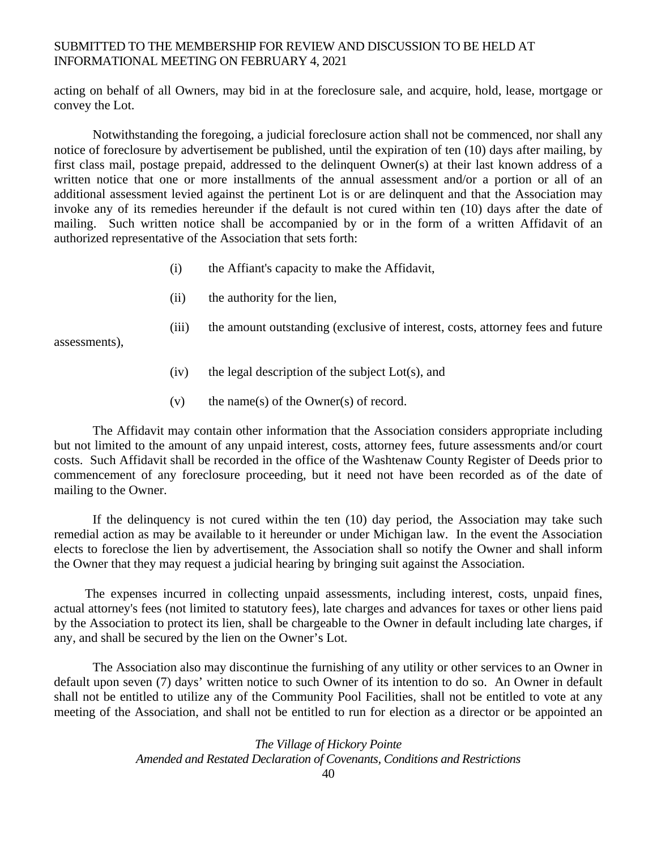acting on behalf of all Owners, may bid in at the foreclosure sale, and acquire, hold, lease, mortgage or convey the Lot.

 Notwithstanding the foregoing, a judicial foreclosure action shall not be commenced, nor shall any notice of foreclosure by advertisement be published, until the expiration of ten (10) days after mailing, by first class mail, postage prepaid, addressed to the delinquent Owner(s) at their last known address of a written notice that one or more installments of the annual assessment and/or a portion or all of an additional assessment levied against the pertinent Lot is or are delinquent and that the Association may invoke any of its remedies hereunder if the default is not cured within ten (10) days after the date of mailing. Such written notice shall be accompanied by or in the form of a written Affidavit of an authorized representative of the Association that sets forth:

- (i) the Affiant's capacity to make the Affidavit,
- (ii) the authority for the lien,
- (iii) the amount outstanding (exclusive of interest, costs, attorney fees and future

assessments),

- $(iv)$  the legal description of the subject Lot(s), and
- (v) the name(s) of the Owner(s) of record.

 The Affidavit may contain other information that the Association considers appropriate including but not limited to the amount of any unpaid interest, costs, attorney fees, future assessments and/or court costs. Such Affidavit shall be recorded in the office of the Washtenaw County Register of Deeds prior to commencement of any foreclosure proceeding, but it need not have been recorded as of the date of mailing to the Owner.

 If the delinquency is not cured within the ten (10) day period, the Association may take such remedial action as may be available to it hereunder or under Michigan law. In the event the Association elects to foreclose the lien by advertisement, the Association shall so notify the Owner and shall inform the Owner that they may request a judicial hearing by bringing suit against the Association.

 The expenses incurred in collecting unpaid assessments, including interest, costs, unpaid fines, actual attorney's fees (not limited to statutory fees), late charges and advances for taxes or other liens paid by the Association to protect its lien, shall be chargeable to the Owner in default including late charges, if any, and shall be secured by the lien on the Owner's Lot.

 The Association also may discontinue the furnishing of any utility or other services to an Owner in default upon seven (7) days' written notice to such Owner of its intention to do so. An Owner in default shall not be entitled to utilize any of the Community Pool Facilities, shall not be entitled to vote at any meeting of the Association, and shall not be entitled to run for election as a director or be appointed an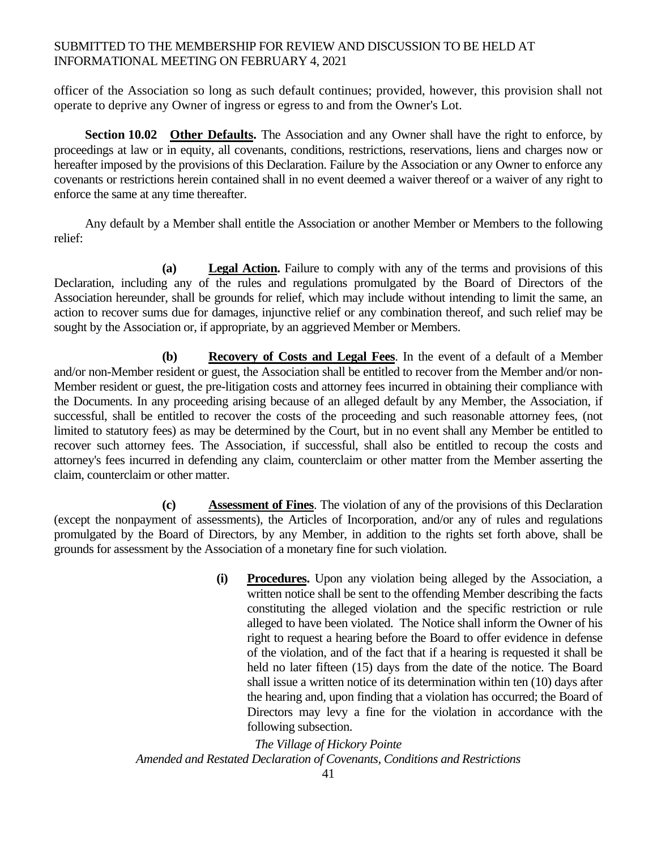officer of the Association so long as such default continues; provided, however, this provision shall not operate to deprive any Owner of ingress or egress to and from the Owner's Lot.

**Section 10.02** Other Defaults. The Association and any Owner shall have the right to enforce, by proceedings at law or in equity, all covenants, conditions, restrictions, reservations, liens and charges now or hereafter imposed by the provisions of this Declaration. Failure by the Association or any Owner to enforce any covenants or restrictions herein contained shall in no event deemed a waiver thereof or a waiver of any right to enforce the same at any time thereafter.

 Any default by a Member shall entitle the Association or another Member or Members to the following relief:

 **(a) Legal Action.** Failure to comply with any of the terms and provisions of this Declaration, including any of the rules and regulations promulgated by the Board of Directors of the Association hereunder, shall be grounds for relief, which may include without intending to limit the same, an action to recover sums due for damages, injunctive relief or any combination thereof, and such relief may be sought by the Association or, if appropriate, by an aggrieved Member or Members.

**(b) Recovery of Costs and Legal Fees**. In the event of a default of a Member and/or non-Member resident or guest, the Association shall be entitled to recover from the Member and/or non-Member resident or guest, the pre-litigation costs and attorney fees incurred in obtaining their compliance with the Documents. In any proceeding arising because of an alleged default by any Member, the Association, if successful, shall be entitled to recover the costs of the proceeding and such reasonable attorney fees, (not limited to statutory fees) as may be determined by the Court, but in no event shall any Member be entitled to recover such attorney fees. The Association, if successful, shall also be entitled to recoup the costs and attorney's fees incurred in defending any claim, counterclaim or other matter from the Member asserting the claim, counterclaim or other matter.

**(c) Assessment of Fines**. The violation of any of the provisions of this Declaration (except the nonpayment of assessments), the Articles of Incorporation, and/or any of rules and regulations promulgated by the Board of Directors, by any Member, in addition to the rights set forth above, shall be grounds for assessment by the Association of a monetary fine for such violation.

> **(i) Procedures.** Upon any violation being alleged by the Association, a written notice shall be sent to the offending Member describing the facts constituting the alleged violation and the specific restriction or rule alleged to have been violated. The Notice shall inform the Owner of his right to request a hearing before the Board to offer evidence in defense of the violation, and of the fact that if a hearing is requested it shall be held no later fifteen (15) days from the date of the notice. The Board shall issue a written notice of its determination within ten (10) days after the hearing and, upon finding that a violation has occurred; the Board of Directors may levy a fine for the violation in accordance with the following subsection.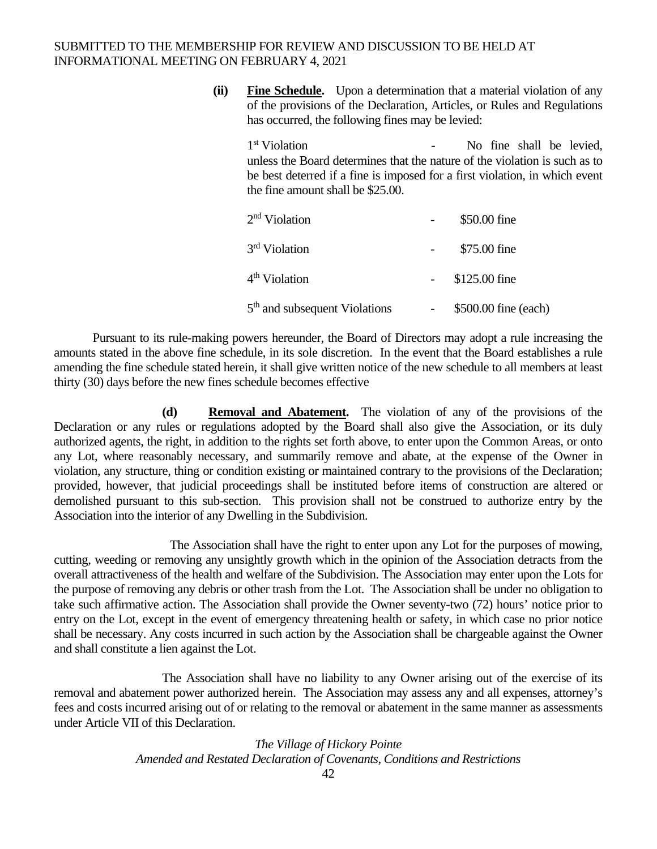**(ii) Fine Schedule.** Upon a determination that a material violation of any of the provisions of the Declaration, Articles, or Rules and Regulations has occurred, the following fines may be levied:

1<sup>st</sup> Violation **-** No fine shall be levied, unless the Board determines that the nature of the violation is such as to be best deterred if a fine is imposed for a first violation, in which event the fine amount shall be \$25.00.

| 2 <sup>nd</sup> Violation                 | \$50.00 fine         |
|-------------------------------------------|----------------------|
| 3rd Violation                             | \$75.00 fine         |
| 4 <sup>th</sup> Violation                 | \$125.00 fine        |
| 5 <sup>th</sup> and subsequent Violations | \$500.00 fine (each) |

 Pursuant to its rule-making powers hereunder, the Board of Directors may adopt a rule increasing the amounts stated in the above fine schedule, in its sole discretion. In the event that the Board establishes a rule amending the fine schedule stated herein, it shall give written notice of the new schedule to all members at least thirty (30) days before the new fines schedule becomes effective

**(d) Removal and Abatement.** The violation of any of the provisions of the Declaration or any rules or regulations adopted by the Board shall also give the Association, or its duly authorized agents, the right, in addition to the rights set forth above, to enter upon the Common Areas, or onto any Lot, where reasonably necessary, and summarily remove and abate, at the expense of the Owner in violation, any structure, thing or condition existing or maintained contrary to the provisions of the Declaration; provided, however, that judicial proceedings shall be instituted before items of construction are altered or demolished pursuant to this sub-section. This provision shall not be construed to authorize entry by the Association into the interior of any Dwelling in the Subdivision.

The Association shall have the right to enter upon any Lot for the purposes of mowing, cutting, weeding or removing any unsightly growth which in the opinion of the Association detracts from the overall attractiveness of the health and welfare of the Subdivision. The Association may enter upon the Lots for the purpose of removing any debris or other trash from the Lot. The Association shall be under no obligation to take such affirmative action. The Association shall provide the Owner seventy-two (72) hours' notice prior to entry on the Lot, except in the event of emergency threatening health or safety, in which case no prior notice shall be necessary. Any costs incurred in such action by the Association shall be chargeable against the Owner and shall constitute a lien against the Lot.

 The Association shall have no liability to any Owner arising out of the exercise of its removal and abatement power authorized herein. The Association may assess any and all expenses, attorney's fees and costs incurred arising out of or relating to the removal or abatement in the same manner as assessments under Article VII of this Declaration.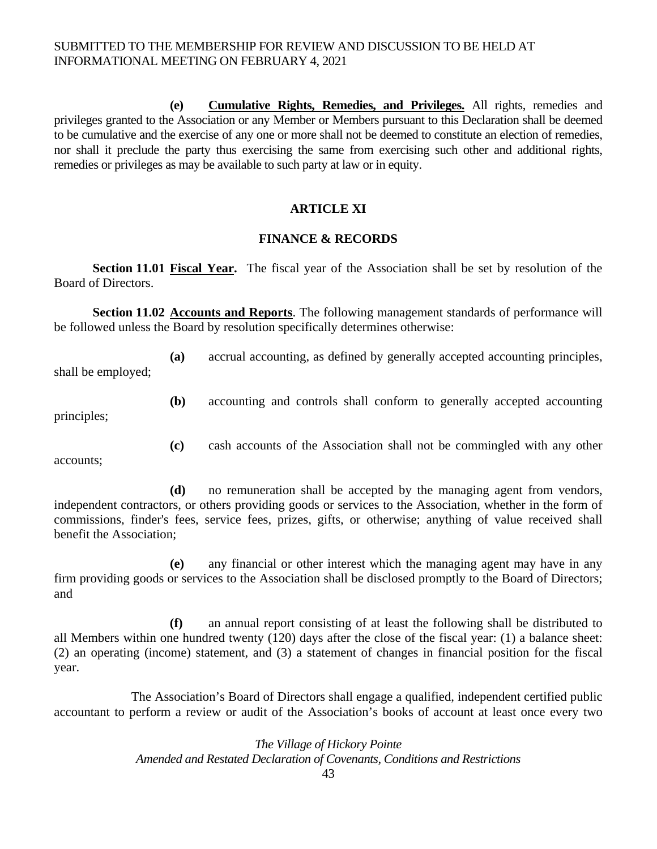**(e) Cumulative Rights, Remedies, and Privileges.** All rights, remedies and privileges granted to the Association or any Member or Members pursuant to this Declaration shall be deemed to be cumulative and the exercise of any one or more shall not be deemed to constitute an election of remedies, nor shall it preclude the party thus exercising the same from exercising such other and additional rights, remedies or privileges as may be available to such party at law or in equity.

# **ARTICLE XI**

#### **FINANCE & RECORDS**

Section 11.01 Fiscal Year. The fiscal year of the Association shall be set by resolution of the Board of Directors.

**Section 11.02 Accounts and Reports**. The following management standards of performance will be followed unless the Board by resolution specifically determines otherwise:

**(a)** accrual accounting, as defined by generally accepted accounting principles,

shall be employed;

**(b)** accounting and controls shall conform to generally accepted accounting

principles;

**(c)** cash accounts of the Association shall not be commingled with any other

accounts;

 **(d)** no remuneration shall be accepted by the managing agent from vendors, independent contractors, or others providing goods or services to the Association, whether in the form of commissions, finder's fees, service fees, prizes, gifts, or otherwise; anything of value received shall benefit the Association;

 **(e)** any financial or other interest which the managing agent may have in any firm providing goods or services to the Association shall be disclosed promptly to the Board of Directors; and

 **(f)** an annual report consisting of at least the following shall be distributed to all Members within one hundred twenty (120) days after the close of the fiscal year: (1) a balance sheet: (2) an operating (income) statement, and (3) a statement of changes in financial position for the fiscal year.

 The Association's Board of Directors shall engage a qualified, independent certified public accountant to perform a review or audit of the Association's books of account at least once every two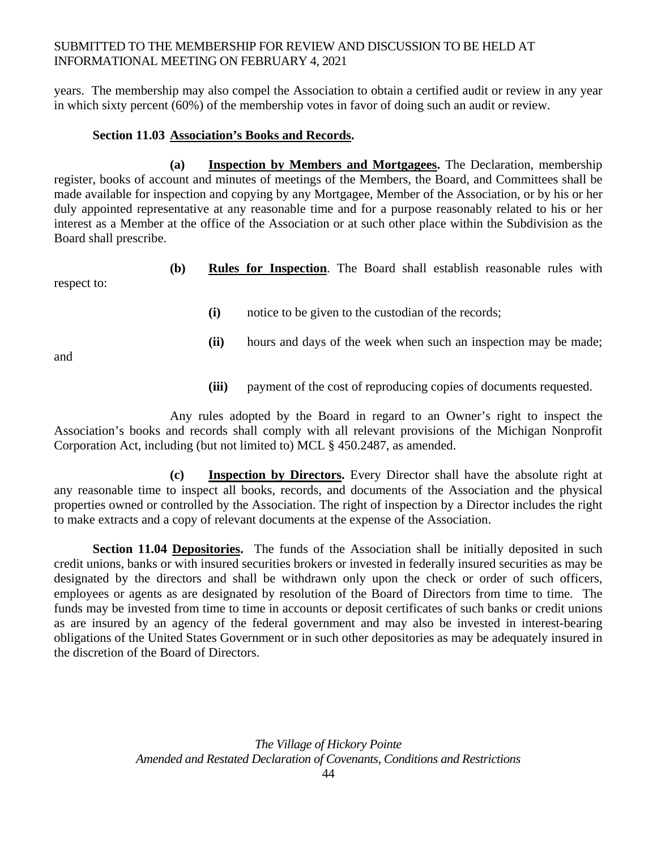years. The membership may also compel the Association to obtain a certified audit or review in any year in which sixty percent (60%) of the membership votes in favor of doing such an audit or review.

# **Section 11.03 Association's Books and Records.**

 **(a) Inspection by Members and Mortgagees.** The Declaration, membership register, books of account and minutes of meetings of the Members, the Board, and Committees shall be made available for inspection and copying by any Mortgagee, Member of the Association, or by his or her duly appointed representative at any reasonable time and for a purpose reasonably related to his or her interest as a Member at the office of the Association or at such other place within the Subdivision as the Board shall prescribe.

**(b) Rules for Inspection**. The Board shall establish reasonable rules with

**(i)** notice to be given to the custodian of the records;

**(ii)** hours and days of the week when such an inspection may be made;

and

respect to:

**(iii)** payment of the cost of reproducing copies of documents requested.

 Any rules adopted by the Board in regard to an Owner's right to inspect the Association's books and records shall comply with all relevant provisions of the Michigan Nonprofit Corporation Act, including (but not limited to) MCL § 450.2487, as amended.

 **(c) Inspection by Directors.** Every Director shall have the absolute right at any reasonable time to inspect all books, records, and documents of the Association and the physical properties owned or controlled by the Association. The right of inspection by a Director includes the right to make extracts and a copy of relevant documents at the expense of the Association.

Section 11.04 Depositories. The funds of the Association shall be initially deposited in such credit unions, banks or with insured securities brokers or invested in federally insured securities as may be designated by the directors and shall be withdrawn only upon the check or order of such officers, employees or agents as are designated by resolution of the Board of Directors from time to time. The funds may be invested from time to time in accounts or deposit certificates of such banks or credit unions as are insured by an agency of the federal government and may also be invested in interest-bearing obligations of the United States Government or in such other depositories as may be adequately insured in the discretion of the Board of Directors.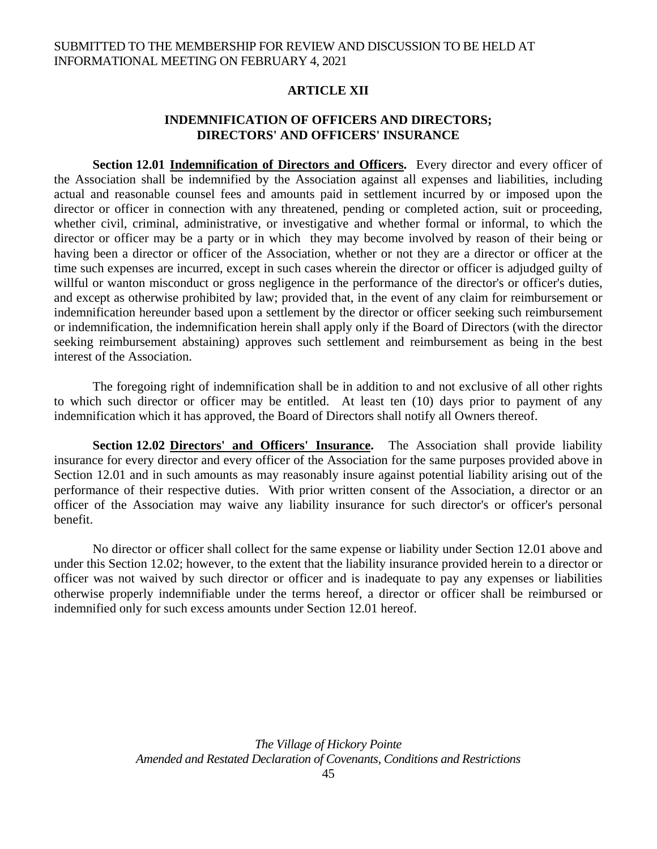# **ARTICLE XII**

# **INDEMNIFICATION OF OFFICERS AND DIRECTORS; DIRECTORS' AND OFFICERS' INSURANCE**

**Section 12.01 Indemnification of Directors and Officers.** Every director and every officer of the Association shall be indemnified by the Association against all expenses and liabilities, including actual and reasonable counsel fees and amounts paid in settlement incurred by or imposed upon the director or officer in connection with any threatened, pending or completed action, suit or proceeding, whether civil, criminal, administrative, or investigative and whether formal or informal, to which the director or officer may be a party or in which they may become involved by reason of their being or having been a director or officer of the Association, whether or not they are a director or officer at the time such expenses are incurred, except in such cases wherein the director or officer is adjudged guilty of willful or wanton misconduct or gross negligence in the performance of the director's or officer's duties, and except as otherwise prohibited by law; provided that, in the event of any claim for reimbursement or indemnification hereunder based upon a settlement by the director or officer seeking such reimbursement or indemnification, the indemnification herein shall apply only if the Board of Directors (with the director seeking reimbursement abstaining) approves such settlement and reimbursement as being in the best interest of the Association.

 The foregoing right of indemnification shall be in addition to and not exclusive of all other rights to which such director or officer may be entitled. At least ten (10) days prior to payment of any indemnification which it has approved, the Board of Directors shall notify all Owners thereof.

 **Section 12.02 Directors' and Officers' Insurance.** The Association shall provide liability insurance for every director and every officer of the Association for the same purposes provided above in Section 12.01 and in such amounts as may reasonably insure against potential liability arising out of the performance of their respective duties. With prior written consent of the Association, a director or an officer of the Association may waive any liability insurance for such director's or officer's personal benefit.

 No director or officer shall collect for the same expense or liability under Section 12.01 above and under this Section 12.02; however, to the extent that the liability insurance provided herein to a director or officer was not waived by such director or officer and is inadequate to pay any expenses or liabilities otherwise properly indemnifiable under the terms hereof, a director or officer shall be reimbursed or indemnified only for such excess amounts under Section 12.01 hereof.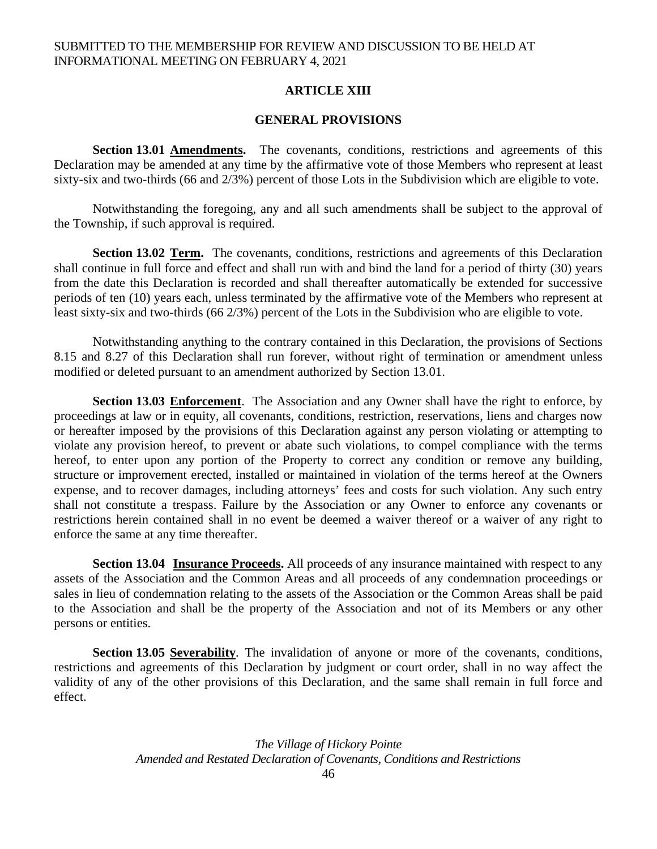# **ARTICLE XIII**

### **GENERAL PROVISIONS**

**Section 13.01 Amendments.** The covenants, conditions, restrictions and agreements of this Declaration may be amended at any time by the affirmative vote of those Members who represent at least sixty-six and two-thirds (66 and 2/3%) percent of those Lots in the Subdivision which are eligible to vote.

Notwithstanding the foregoing, any and all such amendments shall be subject to the approval of the Township, if such approval is required.

**Section 13.02 Term.** The covenants, conditions, restrictions and agreements of this Declaration shall continue in full force and effect and shall run with and bind the land for a period of thirty (30) years from the date this Declaration is recorded and shall thereafter automatically be extended for successive periods of ten (10) years each, unless terminated by the affirmative vote of the Members who represent at least sixty-six and two-thirds (66 2/3%) percent of the Lots in the Subdivision who are eligible to vote.

Notwithstanding anything to the contrary contained in this Declaration, the provisions of Sections 8.15 and 8.27 of this Declaration shall run forever, without right of termination or amendment unless modified or deleted pursuant to an amendment authorized by Section 13.01.

**Section 13.03 Enforcement**. The Association and any Owner shall have the right to enforce, by proceedings at law or in equity, all covenants, conditions, restriction, reservations, liens and charges now or hereafter imposed by the provisions of this Declaration against any person violating or attempting to violate any provision hereof, to prevent or abate such violations, to compel compliance with the terms hereof, to enter upon any portion of the Property to correct any condition or remove any building, structure or improvement erected, installed or maintained in violation of the terms hereof at the Owners expense, and to recover damages, including attorneys' fees and costs for such violation. Any such entry shall not constitute a trespass. Failure by the Association or any Owner to enforce any covenants or restrictions herein contained shall in no event be deemed a waiver thereof or a waiver of any right to enforce the same at any time thereafter.

**Section 13.04** Insurance Proceeds. All proceeds of any insurance maintained with respect to any assets of the Association and the Common Areas and all proceeds of any condemnation proceedings or sales in lieu of condemnation relating to the assets of the Association or the Common Areas shall be paid to the Association and shall be the property of the Association and not of its Members or any other persons or entities.

**Section 13.05 Severability**. The invalidation of anyone or more of the covenants, conditions, restrictions and agreements of this Declaration by judgment or court order, shall in no way affect the validity of any of the other provisions of this Declaration, and the same shall remain in full force and effect.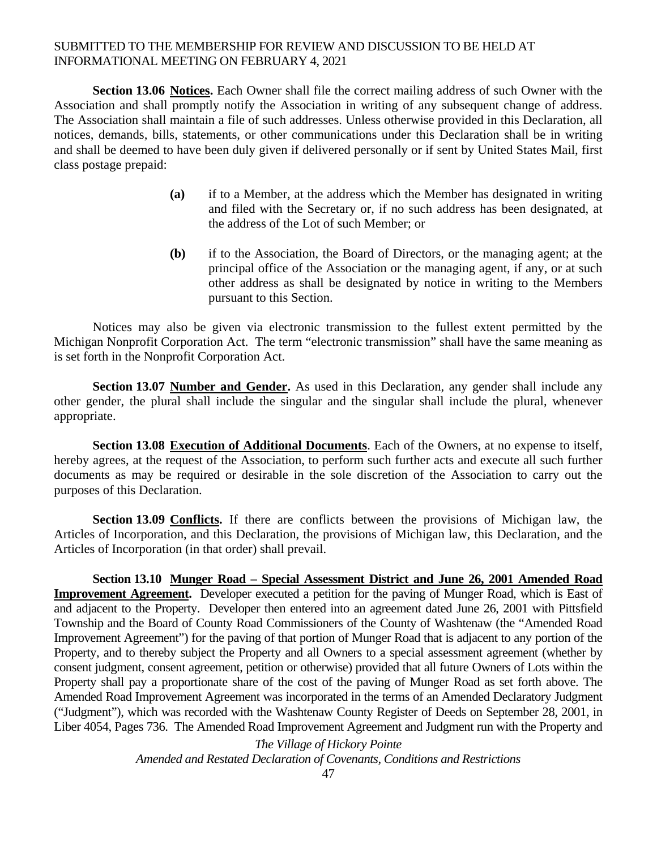**Section 13.06 Notices.** Each Owner shall file the correct mailing address of such Owner with the Association and shall promptly notify the Association in writing of any subsequent change of address. The Association shall maintain a file of such addresses. Unless otherwise provided in this Declaration, all notices, demands, bills, statements, or other communications under this Declaration shall be in writing and shall be deemed to have been duly given if delivered personally or if sent by United States Mail, first class postage prepaid:

- **(a)** if to a Member, at the address which the Member has designated in writing and filed with the Secretary or, if no such address has been designated, at the address of the Lot of such Member; or
- **(b)** if to the Association, the Board of Directors, or the managing agent; at the principal office of the Association or the managing agent, if any, or at such other address as shall be designated by notice in writing to the Members pursuant to this Section.

Notices may also be given via electronic transmission to the fullest extent permitted by the Michigan Nonprofit Corporation Act. The term "electronic transmission" shall have the same meaning as is set forth in the Nonprofit Corporation Act.

 **Section 13.07 Number and Gender.** As used in this Declaration, any gender shall include any other gender, the plural shall include the singular and the singular shall include the plural, whenever appropriate.

**Section 13.08 Execution of Additional Documents**. Each of the Owners, at no expense to itself, hereby agrees, at the request of the Association, to perform such further acts and execute all such further documents as may be required or desirable in the sole discretion of the Association to carry out the purposes of this Declaration.

**Section 13.09 Conflicts.** If there are conflicts between the provisions of Michigan law, the Articles of Incorporation, and this Declaration, the provisions of Michigan law, this Declaration, and the Articles of Incorporation (in that order) shall prevail.

 **Section 13.10 Munger Road – Special Assessment District and June 26, 2001 Amended Road Improvement Agreement.** Developer executed a petition for the paving of Munger Road, which is East of and adjacent to the Property. Developer then entered into an agreement dated June 26, 2001 with Pittsfield Township and the Board of County Road Commissioners of the County of Washtenaw (the "Amended Road Improvement Agreement") for the paving of that portion of Munger Road that is adjacent to any portion of the Property, and to thereby subject the Property and all Owners to a special assessment agreement (whether by consent judgment, consent agreement, petition or otherwise) provided that all future Owners of Lots within the Property shall pay a proportionate share of the cost of the paving of Munger Road as set forth above. The Amended Road Improvement Agreement was incorporated in the terms of an Amended Declaratory Judgment ("Judgment"), which was recorded with the Washtenaw County Register of Deeds on September 28, 2001, in Liber 4054, Pages 736. The Amended Road Improvement Agreement and Judgment run with the Property and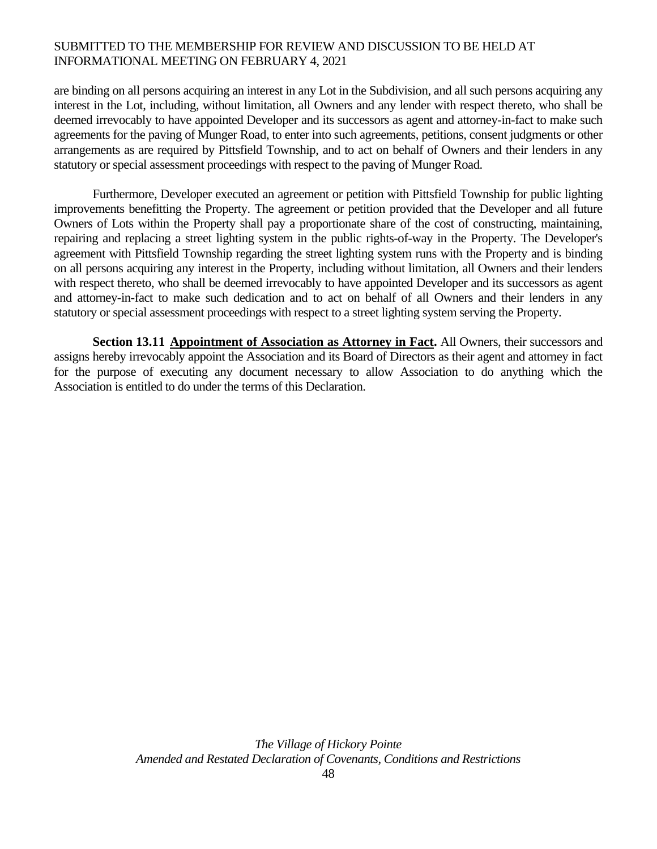are binding on all persons acquiring an interest in any Lot in the Subdivision, and all such persons acquiring any interest in the Lot, including, without limitation, all Owners and any lender with respect thereto, who shall be deemed irrevocably to have appointed Developer and its successors as agent and attorney-in-fact to make such agreements for the paving of Munger Road, to enter into such agreements, petitions, consent judgments or other arrangements as are required by Pittsfield Township, and to act on behalf of Owners and their lenders in any statutory or special assessment proceedings with respect to the paving of Munger Road.

 Furthermore, Developer executed an agreement or petition with Pittsfield Township for public lighting improvements benefitting the Property. The agreement or petition provided that the Developer and all future Owners of Lots within the Property shall pay a proportionate share of the cost of constructing, maintaining, repairing and replacing a street lighting system in the public rights-of-way in the Property. The Developer's agreement with Pittsfield Township regarding the street lighting system runs with the Property and is binding on all persons acquiring any interest in the Property, including without limitation, all Owners and their lenders with respect thereto, who shall be deemed irrevocably to have appointed Developer and its successors as agent and attorney-in-fact to make such dedication and to act on behalf of all Owners and their lenders in any statutory or special assessment proceedings with respect to a street lighting system serving the Property.

 **Section 13.11 Appointment of Association as Attorney in Fact.** All Owners, their successors and assigns hereby irrevocably appoint the Association and its Board of Directors as their agent and attorney in fact for the purpose of executing any document necessary to allow Association to do anything which the Association is entitled to do under the terms of this Declaration.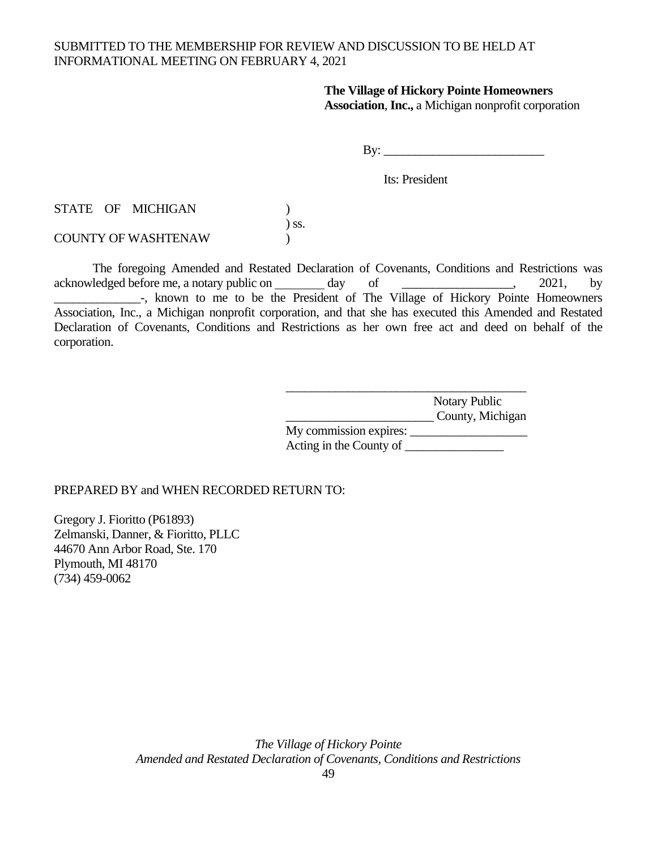#### **The Village of Hickory Pointe Homeowners Association**, **Inc.,** a Michigan nonprofit corporation

By: \_\_\_\_\_\_\_\_\_\_\_\_\_\_\_\_\_\_\_\_\_\_\_\_\_\_

Its: President

STATE OF MICHIGAN ) ) ss.

COUNTY OF WASHTENAW )

The foregoing Amended and Restated Declaration of Covenants, Conditions and Restrictions was acknowledged before me, a notary public on day of \_\_\_\_\_\_\_\_\_\_\_\_\_, 2021, by -, known to me to be the President of The Village of Hickory Pointe Homeowners Association, Inc., a Michigan nonprofit corporation, and that she has executed this Amended and Restated Declaration of Covenants, Conditions and Restrictions as her own free act and deed on behalf of the corporation.

|                         | Notary Public    |
|-------------------------|------------------|
|                         | County, Michigan |
| My commission expires:  |                  |
| Acting in the County of |                  |

PREPARED BY and WHEN RECORDED RETURN TO:

Gregory J. Fioritto (P61893) Zelmanski, Danner, & Fioritto, PLLC 44670 Ann Arbor Road, Ste. 170 Plymouth, MI 48170 (734) 459-0062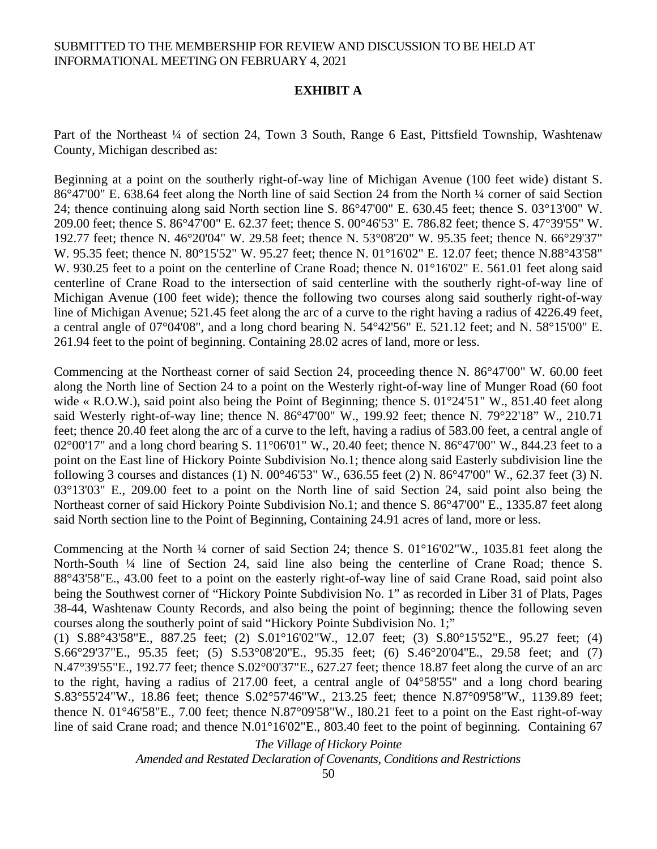#### **EXHIBIT A**

Part of the Northeast <sup>1</sup>/4 of section 24, Town 3 South, Range 6 East, Pittsfield Township, Washtenaw County, Michigan described as:

Beginning at a point on the southerly right-of-way line of Michigan Avenue (100 feet wide) distant S. 86°47'00" E. 638.64 feet along the North line of said Section 24 from the North ¼ corner of said Section 24; thence continuing along said North section line S. 86°47'00" E. 630.45 feet; thence S. 03°13'00" W. 209.00 feet; thence S. 86°47'00" E. 62.37 feet; thence S. 00°46'53" E. 786.82 feet; thence S. 47°39'55" W. 192.77 feet; thence N. 46°20'04" W. 29.58 feet; thence N. 53°08'20" W. 95.35 feet; thence N. 66°29'37" W. 95.35 feet; thence N. 80°15'52" W. 95.27 feet; thence N. 01°16'02" E. 12.07 feet; thence N.88°43'58" W. 930.25 feet to a point on the centerline of Crane Road; thence N. 01°16'02" E. 561.01 feet along said centerline of Crane Road to the intersection of said centerline with the southerly right-of-way line of Michigan Avenue (100 feet wide); thence the following two courses along said southerly right-of-way line of Michigan Avenue; 521.45 feet along the arc of a curve to the right having a radius of 4226.49 feet, a central angle of 07°04'08", and a long chord bearing N. 54°42'56" E. 521.12 feet; and N. 58°15'00" E. 261.94 feet to the point of beginning. Containing 28.02 acres of land, more or less.

Commencing at the Northeast corner of said Section 24, proceeding thence N. 86°47'00" W. 60.00 feet along the North line of Section 24 to a point on the Westerly right-of-way line of Munger Road (60 foot wide « R.O.W.), said point also being the Point of Beginning; thence S. 01°24'51" W., 851.40 feet along said Westerly right-of-way line; thence N. 86°47'00" W., 199.92 feet; thence N. 79°22'18" W., 210.71 feet; thence 20.40 feet along the arc of a curve to the left, having a radius of 583.00 feet, a central angle of 02°00'17" and a long chord bearing S. 11°06'01" W., 20.40 feet; thence N. 86°47'00" W., 844.23 feet to a point on the East line of Hickory Pointe Subdivision No.1; thence along said Easterly subdivision line the following 3 courses and distances (1) N. 00°46'53" W., 636.55 feet (2) N. 86°47'00" W., 62.37 feet (3) N. 03°13'03" E., 209.00 feet to a point on the North line of said Section 24, said point also being the Northeast corner of said Hickory Pointe Subdivision No.1; and thence S. 86°47'00" E., 1335.87 feet along said North section line to the Point of Beginning, Containing 24.91 acres of land, more or less.

Commencing at the North ¼ corner of said Section 24; thence S. 01°16'02"W., 1035.81 feet along the North-South <sup>1</sup>/4 line of Section 24, said line also being the centerline of Crane Road; thence S. 88°43'58"E., 43.00 feet to a point on the easterly right-of-way line of said Crane Road, said point also being the Southwest corner of "Hickory Pointe Subdivision No. 1" as recorded in Liber 31 of Plats, Pages 38-44, Washtenaw County Records, and also being the point of beginning; thence the following seven courses along the southerly point of said "Hickory Pointe Subdivision No. 1;"

(1) S.88°43'58"E., 887.25 feet; (2) S.01°16'02"W., 12.07 feet; (3) S.80°15'52"E., 95.27 feet; (4) S.66°29'37"E., 95.35 feet; (5) S.53°08'20"E., 95.35 feet; (6) S.46°20'04"E., 29.58 feet; and (7) N.47°39'55"E., 192.77 feet; thence S.02°00'37"E., 627.27 feet; thence 18.87 feet along the curve of an arc to the right, having a radius of 217.00 feet, a central angle of 04°58'55" and a long chord bearing S.83°55'24"W., 18.86 feet; thence S.02°57'46"W., 213.25 feet; thence N.87°09'58"W., 1139.89 feet; thence N. 01°46'58"E., 7.00 feet; thence N.87°09'58"W., l80.21 feet to a point on the East right-of-way line of said Crane road; and thence N.01°16'02"E., 803.40 feet to the point of beginning. Containing 67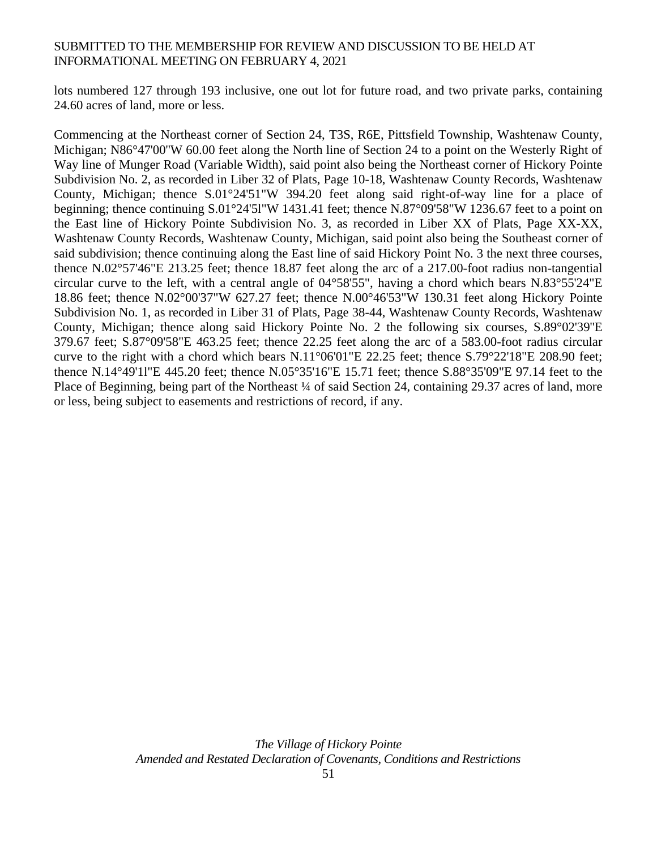lots numbered 127 through 193 inclusive, one out lot for future road, and two private parks, containing 24.60 acres of land, more or less.

Commencing at the Northeast corner of Section 24, T3S, R6E, Pittsfield Township, Washtenaw County, Michigan; N86°47'00''W 60.00 feet along the North line of Section 24 to a point on the Westerly Right of Way line of Munger Road (Variable Width), said point also being the Northeast corner of Hickory Pointe Subdivision No. 2, as recorded in Liber 32 of Plats, Page 10-18, Washtenaw County Records, Washtenaw County, Michigan; thence S.01°24'51"W 394.20 feet along said right-of-way line for a place of beginning; thence continuing S.01°24'5l"W 1431.41 feet; thence N.87°09'58"W 1236.67 feet to a point on the East line of Hickory Pointe Subdivision No. 3, as recorded in Liber XX of Plats, Page XX-XX, Washtenaw County Records, Washtenaw County, Michigan, said point also being the Southeast corner of said subdivision; thence continuing along the East line of said Hickory Point No. 3 the next three courses, thence N.02°57'46"E 213.25 feet; thence 18.87 feet along the arc of a 217.00-foot radius non-tangential circular curve to the left, with a central angle of 04°58'55", having a chord which bears N.83°55'24"E 18.86 feet; thence N.02°00'37"W 627.27 feet; thence N.00°46'53"W 130.31 feet along Hickory Pointe Subdivision No. 1, as recorded in Liber 31 of Plats, Page 38-44, Washtenaw County Records, Washtenaw County, Michigan; thence along said Hickory Pointe No. 2 the following six courses, S.89°02'39''E 379.67 feet; S.87°09'58"E 463.25 feet; thence 22.25 feet along the arc of a 583.00-foot radius circular curve to the right with a chord which bears N.11°06'01"E 22.25 feet; thence S.79°22'18"E 208.90 feet; thence N.14°49'1l"E 445.20 feet; thence N.05°35'16"E 15.71 feet; thence S.88°35'09"E 97.14 feet to the Place of Beginning, being part of the Northeast  $\frac{1}{4}$  of said Section 24, containing 29.37 acres of land, more or less, being subject to easements and restrictions of record, if any.